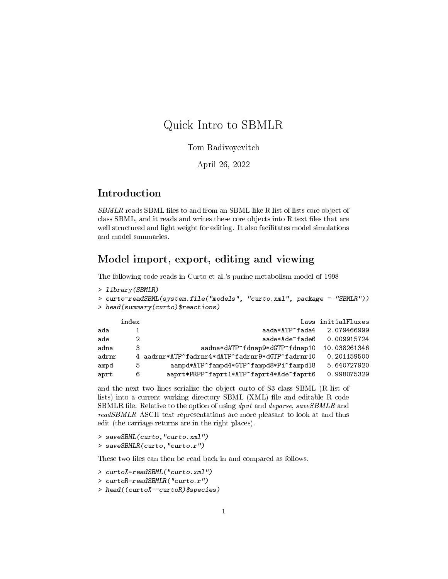# Quick Intro to SBMLR

#### Tom Radivoyevitch

#### April 26, 2022

# Introduction

SBMLR reads SBML files to and from an SBML-like R list of lists core object of class SBML, and it reads and writes these core objects into R text files that are well structured and light weight for editing. It also facilitates model simulations and model summaries.

# Model import, export, editing and viewing

The following code reads in Curto et al.'s purine metabolism model of 1998

```
> library(SBMLR)
> curto=readSBML(system.file("models", "curto.xml", package = "SBMLR"))
> head(summary(curto)$reactions)
    index Laws initialFluxes
```

|       | . |                                                 |              |
|-------|---|-------------------------------------------------|--------------|
| ada   |   | aada*ATP^fada4                                  | 2.079466999  |
| ade   |   | aade*Ade^fade6                                  | 0.009915724  |
| adna  | З | aadna*dATP^fdnap9*dGTP^fdnap10                  | 10.038261346 |
| adrnr |   | 4 aadrnr*ATP^fadrnr4*dATP^fadrnr9*dGTP^fadrnr10 | 0.201159500  |
| ampd  | 5 | aampd*ATP^fampd4*GTP^fampd8*Pi^fampd18          | 5.640727920  |
| aprt  | 6 | aaprt*PRPP^faprt1*ATP^faprt4*Ade^faprt6         | 0.998075329  |
|       |   |                                                 |              |

and the next two lines serialize the object curto of S3 class SBML (R list of lists) into a current working directory SBML  $(XML)$  file and editable R code SBMLR file. Relative to the option of using dput and deparse, saveSBMLR and readSBMLR ASCII text representations are more pleasant to look at and thus edit (the carriage returns are in the right places).

```
> saveSBML(curto,"curto.xml")
> saveSBMLR(curto,"curto.r")
```
These two files can then be read back in and compared as follows.

- > curtoX=readSBML("curto.xml")
- > curtoR=readSBMLR("curto.r")
- > head((curtoX==curtoR)\$species)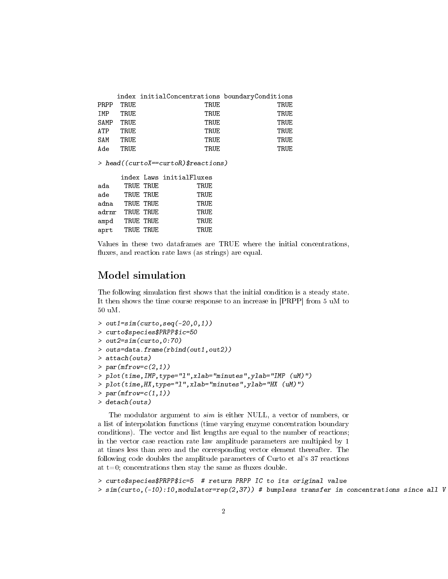|            |      | index initialConcentrations boundaryConditions |      |
|------------|------|------------------------------------------------|------|
| PRPP       | TRUE | TRUE                                           | TRUE |
| IMP        | TRUE | TRUE                                           | TRUE |
| SAMP       | TRUE | TRUE                                           | TRUE |
| <b>ATP</b> | TRUE | TRUE                                           | TRUE |
| SAM        | TRUE | TRUE                                           | TRUE |
| Ade        | TRUE | TRUE                                           | TRUE |
|            |      |                                                |      |

> head((curtoX==curtoR)\$reactions)

|       |           |           | index Laws initialFluxes |
|-------|-----------|-----------|--------------------------|
| ada   |           | TRUE TRUE | TRUE                     |
| ade   | TRUE TRUE |           | TRUE                     |
| adna  |           | TRUE TRUE | TRUE                     |
| adrnr | TRUE TRUE |           | TRUE                     |
| ampd  |           | TRUE TRUE | TRUE                     |
| aprt  |           | TRUE TRUE | TRUE                     |

Values in these two dataframes are TRUE where the initial concentrations, fluxes, and reaction rate laws (as strings) are equal.

### Model simulation

The following simulation first shows that the initial condition is a steady state. It then shows the time course response to an increase in [PRPP] from 5 uM to 50 uM.

```
> out1=sim(curto, seq(-20, 0, 1))
> curto$species$PRPP$ic=50
> out2=sim(curto,0:70)
> outs=data.frame(rbind(out1,out2))
> attach(outs)
> par(mfrow=c(2,1))> plot(time,IMP,type="l",xlab="minutes",ylab="IMP (uM)")
> plot(time,HX,type="l",xlab="minutes",ylab="HX (uM)")
> par(mfrow=c(1,1))> detach(outs)
```
The modulator argument to sim is either NULL, a vector of numbers, or a list of interpolation functions (time varying enzyme concentration boundary conditions). The vector and list lengths are equal to the number of reactions; in the vector case reaction rate law amplitude parameters are multipied by 1 at times less than zero and the corresponding vector element thereafter. The following code doubles the amplitude parameters of Curto et al's 37 reactions at  $t=0$ ; concentrations then stay the same as fluxes double.

> curto\$species\$PRPP\$ic=5 # return PRPP IC to its original value

 $>$  sim(curto,(-10):10,modulator=rep(2,37)) # bumpless transfer in concentrations since all V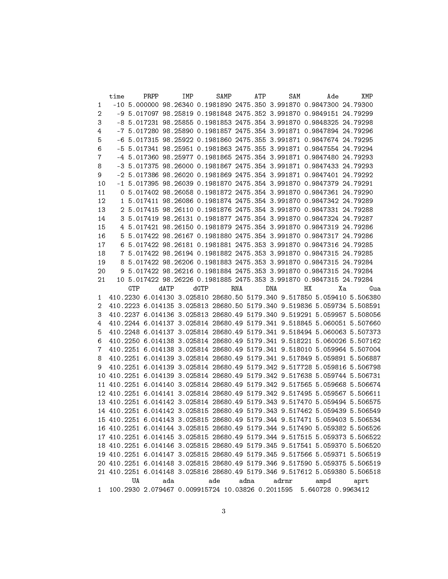|              | time |     | PRPP |      | IMP |      | SAMP |     | ATP |     | SAM            |    | Ade                                                                        |    | XMP  |     |
|--------------|------|-----|------|------|-----|------|------|-----|-----|-----|----------------|----|----------------------------------------------------------------------------|----|------|-----|
| $\mathbf{1}$ |      |     |      |      |     |      |      |     |     |     |                |    | $-10$ 5.000000 98.26340 0.1981890 2475.350 3.991870 0.9847300 24.79300     |    |      |     |
| 2            |      |     |      |      |     |      |      |     |     |     |                |    | -9 5.017097 98.25819 0.1981848 2475.352 3.991870 0.9849151 24.79299        |    |      |     |
| 3            |      |     |      |      |     |      |      |     |     |     |                |    | -8 5.017231 98.25855 0.1981853 2475.354 3.991870 0.9848325 24.79298        |    |      |     |
| 4            |      |     |      |      |     |      |      |     |     |     |                |    | -7 5.017280 98.25890 0.1981857 2475.354 3.991871 0.9847894 24.79296        |    |      |     |
| 5            |      |     |      |      |     |      |      |     |     |     |                |    | -6 5.017315 98.25922 0.1981860 2475.355 3.991871 0.9847674 24.79295        |    |      |     |
| 6            |      |     |      |      |     |      |      |     |     |     |                |    | -5 5.017341 98.25951 0.1981863 2475.355 3.991871 0.9847554 24.79294        |    |      |     |
| 7            |      |     |      |      |     |      |      |     |     |     |                |    | -4 5.017360 98.25977 0.1981865 2475.354 3.991871 0.9847480 24.79293        |    |      |     |
| 8            |      |     |      |      |     |      |      |     |     |     |                |    | -3 5.017375 98.26000 0.1981867 2475.354 3.991871 0.9847433 24.79293        |    |      |     |
| 9            |      |     |      |      |     |      |      |     |     |     |                |    | -2 5.017386 98.26020 0.1981869 2475.354 3.991871 0.9847401 24.79292        |    |      |     |
| 10           |      |     |      |      |     |      |      |     |     |     |                |    | $-1$ 5.017395 98.26039 0.1981870 2475.354 3.991870 0.9847379 24.79291      |    |      |     |
| 11           |      |     |      |      |     |      |      |     |     |     |                |    | 0 5.017402 98.26058 0.1981872 2475.354 3.991870 0.9847361 24.79290         |    |      |     |
| 12           |      |     |      |      |     |      |      |     |     |     |                |    | 1 5.017411 98.26086 0.1981874 2475.354 3.991870 0.9847342 24.79289         |    |      |     |
| 13           |      |     |      |      |     |      |      |     |     |     |                |    | 2 5.017415 98.26110 0.1981876 2475.354 3.991870 0.9847331 24.79288         |    |      |     |
| 14           |      |     |      |      |     |      |      |     |     |     |                |    | 3 5.017419 98.26131 0.1981877 2475.354 3.991870 0.9847324 24.79287         |    |      |     |
| 15           |      |     |      |      |     |      |      |     |     |     |                |    | 4 5.017421 98.26150 0.1981879 2475.354 3.991870 0.9847319 24.79286         |    |      |     |
| $16\,$       |      |     |      |      |     |      |      |     |     |     |                |    | 5 5.017422 98.26167 0.1981880 2475.354 3.991870 0.9847317 24.79286         |    |      |     |
| 17           |      |     |      |      |     |      |      |     |     |     |                |    | 6 5.017422 98.26181 0.1981881 2475.353 3.991870 0.9847316 24.79285         |    |      |     |
| 18           |      |     |      |      |     |      |      |     |     |     |                |    | 7 5.017422 98.26194 0.1981882 2475.353 3.991870 0.9847315 24.79285         |    |      |     |
| 19           |      |     |      |      |     |      |      |     |     |     |                |    | 8 5.017422 98.26206 0.1981883 2475.353 3.991870 0.9847315 24.79284         |    |      |     |
| 20           |      |     |      |      |     |      |      |     |     |     |                |    | 9 5.017422 98.26216 0.1981884 2475.353 3.991870 0.9847315 24.79284         |    |      |     |
| 21           |      |     |      |      |     |      |      |     |     |     |                |    | 10 5.017422 98.26226 0.1981885 2475.353 3.991870 0.9847315 24.79284        |    |      |     |
|              |      | GTP |      | dATP |     | dGTP |      | RNA |     | DNA |                | HХ |                                                                            | Хa |      | Gua |
| 1            |      |     |      |      |     |      |      |     |     |     |                |    | 410.2230 6.014130 3.025810 28680.50 5179.340 9.517850 5.059410 5.506380    |    |      |     |
| 2            |      |     |      |      |     |      |      |     |     |     |                |    | 410.2223 6.014135 3.025813 28680.50 5179.340 9.519836 5.059734 5.508591    |    |      |     |
| 3            |      |     |      |      |     |      |      |     |     |     |                |    | 410.2237 6.014136 3.025813 28680.49 5179.340 9.519291 5.059957 5.508056    |    |      |     |
| 4            |      |     |      |      |     |      |      |     |     |     |                |    | 410.2244 6.014137 3.025814 28680.49 5179.341 9.518845 5.060051 5.507660    |    |      |     |
| 5            |      |     |      |      |     |      |      |     |     |     |                |    | 410.2248 6.014137 3.025814 28680.49 5179.341 9.518494 5.060063 5.507373    |    |      |     |
| 6            |      |     |      |      |     |      |      |     |     |     |                |    | 410.2250 6.014138 3.025814 28680.49 5179.341 9.518221 5.060026 5.507162    |    |      |     |
| 7            |      |     |      |      |     |      |      |     |     |     |                |    | 410.2251 6.014138 3.025814 28680.49 5179.341 9.518010 5.059964 5.507004    |    |      |     |
| 8            |      |     |      |      |     |      |      |     |     |     |                |    | 410.2251 6.014139 3.025814 28680.49 5179.341 9.517849 5.059891 5.506887    |    |      |     |
| 9            |      |     |      |      |     |      |      |     |     |     |                |    | 410.2251 6.014139 3.025814 28680.49 5179.342 9.517728 5.059816 5.506798    |    |      |     |
| 10           |      |     |      |      |     |      |      |     |     |     |                |    | 410.2251 6.014139 3.025814 28680.49 5179.342 9.517638 5.059744 5.506731    |    |      |     |
| 11           |      |     |      |      |     |      |      |     |     |     |                |    | 410.2251 6.014140 3.025814 28680.49 5179.342 9.517565 5.059668 5.506674    |    |      |     |
|              |      |     |      |      |     |      |      |     |     |     |                |    | 12 410.2251 6.014141 3.025814 28680.49 5179.342 9.517495 5.059567 5.506611 |    |      |     |
|              |      |     |      |      |     |      |      |     |     |     |                |    | 13 410.2251 6.014142 3.025814 28680.49 5179.343 9.517470 5.059494 5.506575 |    |      |     |
|              |      |     |      |      |     |      |      |     |     |     |                |    | 14 410.2251 6.014142 3.025815 28680.49 5179.343 9.517462 5.059439 5.506549 |    |      |     |
|              |      |     |      |      |     |      |      |     |     |     |                |    | 15 410.2251 6.014143 3.025815 28680.49 5179.344 9.517471 5.059403 5.506534 |    |      |     |
|              |      |     |      |      |     |      |      |     |     |     |                |    | 16 410.2251 6.014144 3.025815 28680.49 5179.344 9.517490 5.059382 5.506526 |    |      |     |
|              |      |     |      |      |     |      |      |     |     |     |                |    | 17 410.2251 6.014145 3.025815 28680.49 5179.344 9.517515 5.059373 5.506522 |    |      |     |
|              |      |     |      |      |     |      |      |     |     |     |                |    | 18 410.2251 6.014146 3.025815 28680.49 5179.345 9.517541 5.059370 5.506520 |    |      |     |
|              |      |     |      |      |     |      |      |     |     |     |                |    | 19 410.2251 6.014147 3.025815 28680.49 5179.345 9.517566 5.059371 5.506519 |    |      |     |
|              |      |     |      |      |     |      |      |     |     |     |                |    | 20 410.2251 6.014148 3.025815 28680.49 5179.346 9.517590 5.059375 5.506519 |    |      |     |
|              |      |     |      |      |     |      |      |     |     |     |                |    | 21 410.2251 6.014148 3.025816 28680.49 5179.346 9.517612 5.059380 5.506518 |    |      |     |
|              |      | UA  |      | ada  |     |      |      |     |     |     | ade adna adrnr |    | ampd                                                                       |    | aprt |     |
| $1 \quad$    |      |     |      |      |     |      |      |     |     |     |                |    | 100.2930 2.079467 0.009915724 10.03826 0.2011595 5.640728 0.9963412        |    |      |     |
|              |      |     |      |      |     |      |      |     |     |     |                |    |                                                                            |    |      |     |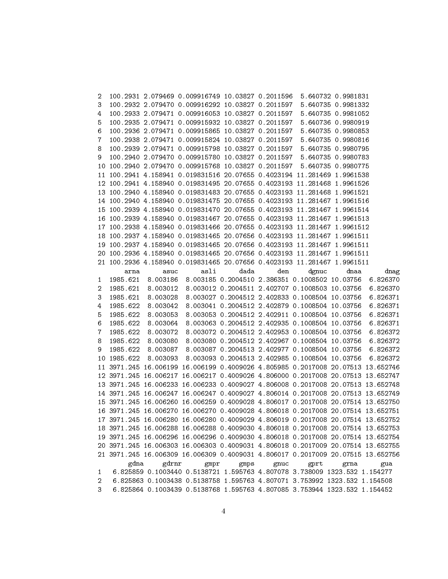| 2              |          |               | 100.2931 2.079469 0.009916749 10.03827 0.2011596 5.640732 0.9981831             |      |      |                                                |                    |          |
|----------------|----------|---------------|---------------------------------------------------------------------------------|------|------|------------------------------------------------|--------------------|----------|
| 3              |          |               | 100.2932 2.079470 0.009916292 10.03827 0.2011597                                |      |      |                                                | 5.640735 0.9981332 |          |
| 4              |          |               | 100.2933 2.079471 0.009916053 10.03827 0.2011597                                |      |      |                                                | 5.640735 0.9981052 |          |
| 5              |          |               | 100.2935 2.079471 0.009915932 10.03827 0.2011597                                |      |      |                                                | 5.640736 0.9980919 |          |
| 6              |          |               | 100.2936 2.079471 0.009915865 10.03827 0.2011597                                |      |      |                                                | 5.640735 0.9980853 |          |
| 7              |          |               | 100.2938 2.079471 0.009915824 10.03827 0.2011597                                |      |      |                                                | 5.640735 0.9980816 |          |
| 8              |          |               | 100.2939 2.079471 0.009915798 10.03827 0.2011597                                |      |      |                                                | 5.640735 0.9980795 |          |
| 9              |          |               | 100.2940 2.079470 0.009915780 10.03827 0.2011597 5.640735 0.9980783             |      |      |                                                |                    |          |
| 10             |          |               | 100.2940 2.079470 0.009915768 10.03827 0.2011597                                |      |      |                                                | 5.640735 0.9980775 |          |
| 11             |          |               | 100.2941 4.158941 0.019831516 20.07655 0.4023194 11.281469 1.9961538            |      |      |                                                |                    |          |
| 12             |          |               | 100.2941 4.158940 0.019831495 20.07655 0.4023193 11.281468 1.9961526            |      |      |                                                |                    |          |
|                |          |               | 13 100.2940 4.158940 0.019831483 20.07655 0.4023193 11.281468 1.9961521         |      |      |                                                |                    |          |
|                |          |               |                                                                                 |      |      |                                                |                    |          |
|                |          |               | 14 100.2940 4.158940 0.019831475 20.07655 0.4023193 11.281467 1.9961516         |      |      |                                                |                    |          |
|                |          |               | 15 100.2939 4.158940 0.019831470 20.07655 0.4023193 11.281467 1.9961514         |      |      |                                                |                    |          |
|                |          |               | 16 100.2939 4.158940 0.019831467 20.07655 0.4023193 11.281467 1.9961513         |      |      |                                                |                    |          |
|                |          |               | 17 100.2938 4.158940 0.019831466 20.07655 0.4023193 11.281467 1.9961512         |      |      |                                                |                    |          |
|                |          |               | 18 100.2937 4.158940 0.019831465 20.07656 0.4023193 11.281467 1.9961511         |      |      |                                                |                    |          |
|                |          |               | 19 100.2937 4.158940 0.019831465 20.07656 0.4023193 11.281467 1.9961511         |      |      |                                                |                    |          |
|                |          |               | 20 100.2936 4.158940 0.019831465 20.07656 0.4023193 11.281467 1.9961511         |      |      |                                                |                    |          |
|                |          |               | 21 100.2936 4.158940 0.019831465 20.07656 0.4023193 11.281467 1.9961511         |      |      |                                                |                    |          |
|                | arna     | asuc          | asli                                                                            | dada | den  | dgnuc                                          | dnaa               | dnag     |
| 1              | 1985.621 | 8.003186      |                                                                                 |      |      | 8.003185 0.2004510 2.386351 0.1008502 10.03756 |                    | 6.826370 |
| 2              | 1985.621 | 8.003012      |                                                                                 |      |      | 8.003012 0.2004511 2.402707 0.1008503 10.03756 |                    | 6.826370 |
| 3              | 1985.621 | 8.003028      |                                                                                 |      |      | 8.003027 0.2004512 2.402833 0.1008504 10.03756 |                    | 6.826371 |
| 4              | 1985.622 | 8.003042      |                                                                                 |      |      | 8.003041 0.2004512 2.402879 0.1008504 10.03756 |                    | 6.826371 |
| 5              | 1985.622 | 8.003053      |                                                                                 |      |      | 8.003053 0.2004512 2.402911 0.1008504 10.03756 |                    | 6.826371 |
| 6              | 1985.622 | 8.003064      |                                                                                 |      |      | 8.003063 0.2004512 2.402935 0.1008504 10.03756 |                    | 6.826371 |
| 7              | 1985.622 | 8.003072      |                                                                                 |      |      | 8.003072 0.2004512 2.402953 0.1008504 10.03756 |                    | 6.826372 |
| 8              | 1985.622 | 8.003080      |                                                                                 |      |      | 8.003080 0.2004512 2.402967 0.1008504 10.03756 |                    | 6.826372 |
| 9              | 1985.622 | 8.003087      |                                                                                 |      |      | 8.003087 0.2004513 2.402977 0.1008504 10.03756 |                    | 6.826372 |
| 10             | 1985.622 | 8.003093      |                                                                                 |      |      | 8.003093 0.2004513 2.402985 0.1008504 10.03756 |                    | 6.826372 |
|                |          |               | 11 3971.245 16.006199 16.006199 0.4009026 4.805985 0.2017008 20.07513 13.652746 |      |      |                                                |                    |          |
|                |          |               | 12 3971.245 16.006217 16.006217 0.4009026 4.806000 0.2017008 20.07513 13.652747 |      |      |                                                |                    |          |
|                |          |               | 13 3971.245 16.006233 16.006233 0.4009027 4.806008 0.2017008 20.07513 13.652748 |      |      |                                                |                    |          |
|                |          |               | 14 3971.245 16.006247 16.006247 0.4009027 4.806014 0.2017008 20.07513 13.652749 |      |      |                                                |                    |          |
|                |          |               | 15 3971.245 16.006260 16.006259 0.4009028 4.806017 0.2017008 20.07514 13.652750 |      |      |                                                |                    |          |
|                |          |               | 16 3971.245 16.006270 16.006270 0.4009028 4.806018 0.2017008 20.07514 13.652751 |      |      |                                                |                    |          |
|                |          |               | 17 3971.245 16.006280 16.006280 0.4009029 4.806019 0.2017008 20.07514 13.652752 |      |      |                                                |                    |          |
|                |          |               | 18 3971.245 16.006288 16.006288 0.4009030 4.806018 0.2017008 20.07514 13.652753 |      |      |                                                |                    |          |
|                |          |               | 19 3971.245 16.006296 16.006296 0.4009030 4.806018 0.2017008 20.07514 13.652754 |      |      |                                                |                    |          |
|                |          |               | 20 3971.245 16.006303 16.006303 0.4009031 4.806018 0.2017009 20.07514 13.652755 |      |      |                                                |                    |          |
|                |          |               | 21 3971.245 16.006309 16.006309 0.4009031 4.806017 0.2017009 20.07515 13.652756 |      |      |                                                |                    |          |
|                |          | gdrnr<br>gdna | gmpr                                                                            | gmps | gnuc | $g$ prt                                        | grna               | gua      |
| $\mathbf{1}$   |          |               | 6.825859 0.1003440 0.5138721 1.595763 4.807078 3.738009 1323.532 1.154277       |      |      |                                                |                    |          |
| $\overline{2}$ |          |               | 6.825863 0.1003438 0.5138758 1.595763 4.807071 3.753992 1323.532 1.154508       |      |      |                                                |                    |          |
| 3              |          |               | 6.825864 0.1003439 0.5138768 1.595763 4.807085 3.753944 1323.532 1.154452       |      |      |                                                |                    |          |
|                |          |               |                                                                                 |      |      |                                                |                    |          |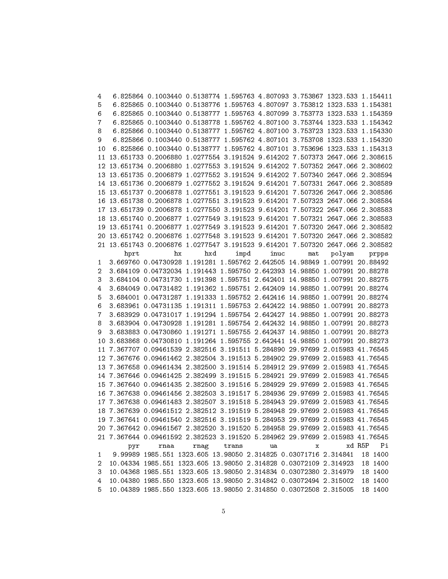| 4            | 6.825864 0.1003440 0.5138774 1.595763 4.807093 3.753867 1323.533 1.154411     |     |            |      |     |        |        |         |
|--------------|-------------------------------------------------------------------------------|-----|------------|------|-----|--------|--------|---------|
| 5            | 6.825865 0.1003440 0.5138776 1.595763 4.807097 3.753812 1323.533 1.154381     |     |            |      |     |        |        |         |
| 6            | 6.825865 0.1003440 0.5138777 1.595763 4.807099 3.753773 1323.533 1.154359     |     |            |      |     |        |        |         |
| 7            | 6.825865 0.1003440 0.5138778 1.595762 4.807100 3.753744 1323.533 1.154342     |     |            |      |     |        |        |         |
| 8            | 6.825866 0.1003440 0.5138777 1.595762 4.807100 3.753723 1323.533 1.154330     |     |            |      |     |        |        |         |
| 9            | 6.825866 0.1003440 0.5138777 1.595762 4.807101 3.753708 1323.533 1.154320     |     |            |      |     |        |        |         |
| 10           | 6.825866 0.1003440 0.5138777 1.595762 4.807101 3.753696 1323.533 1.154313     |     |            |      |     |        |        |         |
| 11           | 13.651733 0.2006880 1.0277554 3.191524 9.614202 7.507373 2647.066 2.308615    |     |            |      |     |        |        |         |
|              | 12 13.651734 0.2006880 1.0277553 3.191524 9.614202 7.507352 2647.066 2.308602 |     |            |      |     |        |        |         |
|              | 13 13.651735 0.2006879 1.0277552 3.191524 9.614202 7.507340 2647.066 2.308594 |     |            |      |     |        |        |         |
|              | 14 13.651736 0.2006879 1.0277552 3.191524 9.614201 7.507331 2647.066 2.308589 |     |            |      |     |        |        |         |
|              | 15 13.651737 0.2006878 1.0277551 3.191523 9.614201 7.507326 2647.066 2.308586 |     |            |      |     |        |        |         |
|              |                                                                               |     |            |      |     |        |        |         |
|              | 16 13.651738 0.2006878 1.0277551 3.191523 9.614201 7.507323 2647.066 2.308584 |     |            |      |     |        |        |         |
|              | 17 13.651739 0.2006878 1.0277550 3.191523 9.614201 7.507322 2647.066 2.308583 |     |            |      |     |        |        |         |
|              | 18 13.651740 0.2006877 1.0277549 3.191523 9.614201 7.507321 2647.066 2.308583 |     |            |      |     |        |        |         |
|              | 19 13.651741 0.2006877 1.0277549 3.191523 9.614201 7.507320 2647.066 2.308582 |     |            |      |     |        |        |         |
|              | 20 13.651742 0.2006876 1.0277548 3.191523 9.614201 7.507320 2647.066 2.308582 |     |            |      |     |        |        |         |
|              | 21 13.651743 0.2006876 1.0277547 3.191523 9.614201 7.507320 2647.066 2.308582 |     |            |      |     |        |        |         |
|              | hx<br>hprt                                                                    | hxd | impd       | inuc | mat | polyam |        | prpps   |
| 1            | 3.669760 0.04730928 1.191281 1.595762 2.642505 14.98849 1.007991 20.88492     |     |            |      |     |        |        |         |
| 2            | 3.684109 0.04732034 1.191443 1.595750 2.642393 14.98850 1.007991 20.88278     |     |            |      |     |        |        |         |
| 3            | 3.684104 0.04731730 1.191398 1.595751 2.642401 14.98850 1.007991 20.88275     |     |            |      |     |        |        |         |
| 4            | 3.684049 0.04731482 1.191362 1.595751 2.642409 14.98850 1.007991 20.88274     |     |            |      |     |        |        |         |
| 5            | 3.684001 0.04731287 1.191333 1.595752 2.642416 14.98850 1.007991 20.88274     |     |            |      |     |        |        |         |
| 6            | 3.683961 0.04731135 1.191311 1.595753 2.642422 14.98850 1.007991 20.88273     |     |            |      |     |        |        |         |
| 7            | 3.683929 0.04731017 1.191294 1.595754 2.642427 14.98850 1.007991 20.88273     |     |            |      |     |        |        |         |
| 8            | 3.683904 0.04730928 1.191281 1.595754 2.642432 14.98850 1.007991 20.88273     |     |            |      |     |        |        |         |
| 9            | 3.683883 0.04730860 1.191271 1.595755 2.642437 14.98850 1.007991 20.88273     |     |            |      |     |        |        |         |
| 10           | 3.683868 0.04730810 1.191264 1.595755 2.642441 14.98850 1.007991 20.88273     |     |            |      |     |        |        |         |
| 11           | 7.367707 0.09461539 2.382516 3.191511 5.284890 29.97699 2.015983 41.76545     |     |            |      |     |        |        |         |
| 12           | 7.367676 0.09461462 2.382504 3.191513 5.284902 29.97699 2.015983 41.76545     |     |            |      |     |        |        |         |
| 13           | 7.367658 0.09461434 2.382500 3.191514 5.284912 29.97699 2.015983 41.76545     |     |            |      |     |        |        |         |
|              | 14 7.367646 0.09461425 2.382499 3.191515 5.284921 29.97699 2.015983 41.76545  |     |            |      |     |        |        |         |
|              | 15 7.367640 0.09461435 2.382500 3.191516 5.284929 29.97699 2.015983 41.76545  |     |            |      |     |        |        |         |
|              | 16 7.367638 0.09461456 2.382503 3.191517 5.284936 29.97699 2.015983 41.76545  |     |            |      |     |        |        |         |
|              | 17 7.367638 0.09461483 2.382507 3.191518 5.284943 29.97699 2.015983 41.76545  |     |            |      |     |        |        |         |
|              | 18 7.367639 0.09461512 2.382512 3.191519 5.284948 29.97699 2.015983 41.76545  |     |            |      |     |        |        |         |
|              | 19 7.367641 0.09461540 2.382516 3.191519 5.284953 29.97699 2.015983 41.76545  |     |            |      |     |        |        |         |
|              |                                                                               |     |            |      |     |        |        |         |
|              | 20 7.367642 0.09461567 2.382520 3.191520 5.284958 29.97699 2.015983 41.76545  |     |            |      |     |        |        |         |
|              | 21 7.367644 0.09461592 2.382523 3.191520 5.284962 29.97699 2.015983 41.76545  |     |            |      |     |        |        |         |
|              | rnaa<br>pyr                                                                   |     | rnag trans | ua   | x   |        | xd R5P | Рi      |
| $\mathbf{1}$ | 9.99989 1985.551 1323.605 13.98050 2.314825 0.03071716 2.314841 18 1400       |     |            |      |     |        |        |         |
| 2            | 10.04334 1985.551 1323.605 13.98050 2.314828 0.03072109 2.314923 18 1400      |     |            |      |     |        |        |         |
| 3            | 10.04368 1985.551 1323.605 13.98050 2.314834 0.03072380 2.314979              |     |            |      |     |        |        | 18 1400 |
| 4            | 10.04380 1985.550 1323.605 13.98050 2.314842 0.03072494 2.315002              |     |            |      |     |        |        | 18 1400 |
| 5.           | 10.04389 1985.550 1323.605 13.98050 2.314850 0.03072508 2.315005              |     |            |      |     |        |        | 18 1400 |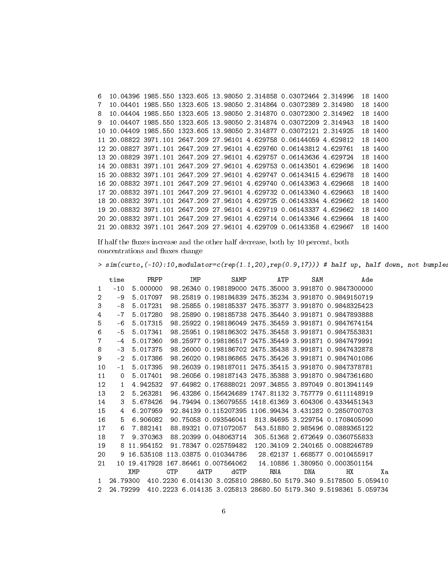6 10.04396 1985.550 1323.605 13.98050 2.314858 0.03072464 2.314996 18 1400 7 10.04401 1985.550 1323.605 13.98050 2.314864 0.03072389 2.314980 18 1400 8 10.04404 1985.550 1323.605 13.98050 2.314870 0.03072300 2.314962 18 1400 9 10.04407 1985.550 1323.605 13.98050 2.314874 0.03072209 2.314943 18 1400 10 10.04409 1985.550 1323.605 13.98050 2.314877 0.03072121 2.314925 18 1400 11 20.08822 3971.101 2647.209 27.96101 4.629758 0.06144059 4.629812 18 1400 12 20.08827 3971.101 2647.209 27.96101 4.629760 0.06143812 4.629761 18 1400 13 20.08829 3971.101 2647.209 27.96101 4.629757 0.06143636 4.629724 18 1400 14 20.08831 3971.101 2647.209 27.96101 4.629753 0.06143501 4.629696 18 1400 15 20.08832 3971.101 2647.209 27.96101 4.629747 0.06143415 4.629678 18 1400 16 20.08832 3971.101 2647.209 27.96101 4.629740 0.06143363 4.629668 18 1400 17 20.08832 3971.101 2647.209 27.96101 4.629732 0.06143340 4.629663 18 1400 18 20.08832 3971.101 2647.209 27.96101 4.629725 0.06143334 4.629662 18 1400 19 20.08832 3971.101 2647.209 27.96101 4.629719 0.06143337 4.629662 18 1400 20 20.08832 3971.101 2647.209 27.96101 4.629714 0.06143346 4.629664 18 1400 21 20.08832 3971.101 2647.209 27.96101 4.629709 0.06143358 4.629667 18 1400

If half the fluxes increase and the other half decrease, both by 10 percent, both concentrations and fluxes change

 $> sim(curto, (-10):10, modulator=c(rep(1.1,20), rep(0.9,17)))$ # half up, half down, not bumples

|    | time           | PRPP      |     | IMP      |      | SAMP                  | ATP                                                             | SAM                            |    | Ade |          |
|----|----------------|-----------|-----|----------|------|-----------------------|-----------------------------------------------------------------|--------------------------------|----|-----|----------|
| 1  | $-10$          | 5.000000  |     | 98.26340 |      |                       | 0.198189000 2475.35000 3.991870 0.9847300000                    |                                |    |     |          |
| 2  | -9             | 5.017097  |     | 98.25819 |      |                       | 0.198184839 2475.35234 3.991870 0.9849150719                    |                                |    |     |          |
| 3  | -8             | 5.017231  |     | 98.25855 |      |                       | 0.198185337 2475.35377 3.991870 0.9848325423                    |                                |    |     |          |
| 4  | $-7$           | 5.017280  |     | 98.25890 |      |                       | 0.198185738 2475.35440 3.991871 0.9847893888                    |                                |    |     |          |
| 5  | -6             | 5.017315  |     |          |      |                       | 98.25922 0.198186049 2475.35459 3.991871 0.9847674154           |                                |    |     |          |
| 6  | -5             | 5.017341  |     | 98.25951 |      |                       | 0.198186302 2475.35458 3.991871 0.9847553831                    |                                |    |     |          |
| 7  | $-4$           | 5.017360  |     | 98.25977 |      |                       | 0.198186517 2475.35449 3.991871 0.9847479991                    |                                |    |     |          |
| 8  | -3             | 5.017375  |     |          |      |                       | 98.26000 0.198186702 2475.35438 3.991871 0.9847432878           |                                |    |     |          |
| 9  | $-2$           | 5.017386  |     | 98.26020 |      |                       | 0.198186865 2475.35426 3.991871 0.9847401086                    |                                |    |     |          |
| 10 | $-1$           | 5.017395  |     |          |      | 98.26039 0.198187011  | 2475.35415 3.991870 0.9847378781                                |                                |    |     |          |
| 11 | 0              | 5.017401  |     |          |      | 98.26056 0.198187143  | 2475.35388 3.991870 0.9847361680                                |                                |    |     |          |
| 12 | 1              | 4.942532  |     |          |      | 97.64982 0.176888021  | 2097.34855 3.897049 0.8013941149                                |                                |    |     |          |
| 13 | $\overline{2}$ | 5.263281  |     |          |      | 96.43286 0.156424689  | 1747.81132 3.757779 0.6111148919                                |                                |    |     |          |
| 14 | 3              | 5.678426  |     | 94.79494 |      | 0.136079555           | 1418.61369 3.604306 0.4334451343                                |                                |    |     |          |
| 15 | 4              | 6.207959  |     |          |      | 92.84139 0.115207395  | 1106.99434 3.431282 0.2850700703                                |                                |    |     |          |
| 16 | 5.             | 6.906082  |     |          |      | 90.75058 0.093546041  | 813.84695 3.229754 0.1708405090                                 |                                |    |     |          |
| 17 | 6              | 7.882141  |     | 88.89321 |      | 0.071072057           | 543.51880 2.985496 0.0889365122                                 |                                |    |     |          |
| 18 | 7              | 9.370363  |     | 88.20399 |      | 0.048063714           | 305.51368 2.672649 0.0360755833                                 |                                |    |     |          |
| 19 | 8              | 11.954152 |     |          |      | 91.78347 0.025759482  | 120.34109 2.240165 0.0088246789                                 |                                |    |     |          |
| 20 | 9              | 16.535108 |     |          |      | 113.03875 0.010344786 |                                                                 | 28.62137 1.668577 0.0010455917 |    |     |          |
| 21 | 10.            | 19.417928 |     |          |      | 167.86461 0.007564062 | 14.10886                                                        | 1.380950 0.0003501154          |    |     |          |
|    |                | XMP       | GTP |          | dATP | dGTP                  | RNA                                                             | <b>DNA</b>                     | HХ |     | Хa       |
| 1  | 24.79300       |           |     |          |      |                       | 410.2230 6.014130 3.025810 28680.50 5179.340 9.5178500 5.059410 |                                |    |     |          |
| 2  | 24.79299       |           |     |          |      |                       | 410.2223 6.014135 3.025813 28680.50 5179.340 9.5198361          |                                |    |     | 5.059734 |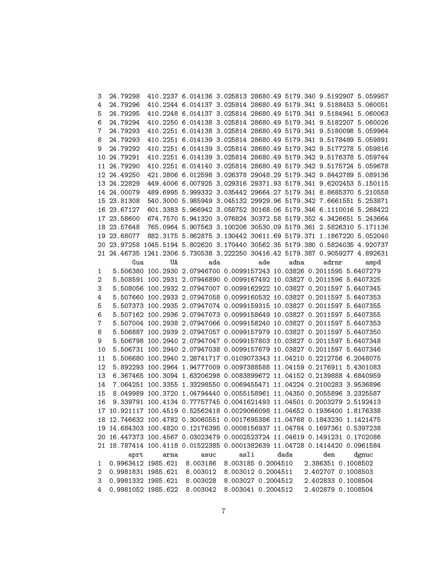| 3              | 24.79298           |      | 410.2237 6.014136 3.025813 28680.49 5179.340 9.5192907 5.059957              |                    |     |                                       |                    |       |  |
|----------------|--------------------|------|------------------------------------------------------------------------------|--------------------|-----|---------------------------------------|--------------------|-------|--|
| 4              | 24.79296           |      | 410.2244 6.014137 3.025814 28680.49 5179.341 9.5188453 5.060051              |                    |     |                                       |                    |       |  |
| 5              | 24.79295           |      | 410.2248 6.014137 3.025814 28680.49 5179.341 9.5184941 5.060063              |                    |     |                                       |                    |       |  |
| 6              | 24.79294           |      | 410.2250 6.014138 3.025814 28680.49 5179.341 9.5182207 5.060026              |                    |     |                                       |                    |       |  |
| 7              | 24.79293           |      | 410.2251 6.014138 3.025814 28680.49 5179.341 9.5180098 5.059964              |                    |     |                                       |                    |       |  |
| 8              | 24.79293           |      | 410.2251 6.014139 3.025814 28680.49 5179.341 9.5178489 5.059891              |                    |     |                                       |                    |       |  |
| 9              | 24.79292           |      | 410.2251 6.014139 3.025814 28680.49 5179.342 9.5177278 5.059816              |                    |     |                                       |                    |       |  |
|                | 10 24.79291        |      | 410.2251 6.014139 3.025814 28680.49 5179.342 9.5176378 5.059744              |                    |     |                                       |                    |       |  |
|                | 11 24.79290        |      | 410.2251 6.014140 3.025814 28680.49 5179.342 9.5175724 5.059678              |                    |     |                                       |                    |       |  |
|                | 12 24.49250        |      | 421.2806 6.012598 3.026378 29048.29 5179.342 9.8442789 5.089136              |                    |     |                                       |                    |       |  |
|                | 13 24.22829        |      | 449.4006 6.007925 3.029316 29371.93 5179.341 9.6202453 5.150115              |                    |     |                                       |                    |       |  |
|                | 14 24.00079        |      | 489.6995 5.999332 3.035442 29664.27 5179.341 8.8685370 5.210558              |                    |     |                                       |                    |       |  |
|                | 15 23.81308        |      | 540.3000 5.985949 3.045132 29929.96 5179.342 7.6661551 5.253871              |                    |     |                                       |                    |       |  |
|                | 16 23.67127        |      | 601.3383 5.966942 3.058752 30168.06 5179.346 6.1110016 5.268422              |                    |     |                                       |                    |       |  |
|                | 17 23.58600        |      | 674.7570 5.941320 3.076824 30372.58 5179.352 4.3426651 5.243664              |                    |     |                                       |                    |       |  |
|                | 18 23.57648        |      | 765.0964 5.907563 3.100206 30530.09 5179.361 2.5826310 5.171136              |                    |     |                                       |                    |       |  |
|                | 19 23.68077        |      | 882.3175 5.862875 3.130442 30611.69 5179.371 1.1867220 5.052040              |                    |     |                                       |                    |       |  |
|                |                    |      | 20 23.97258 1045.5194 5.802620 3.170440 30562.35 5179.380 0.5824035 4.920737 |                    |     |                                       |                    |       |  |
|                |                    |      | 21 24.46735 1241.2306 5.730538 3.222250 30416.42 5179.387 0.9059277 4.892631 |                    |     |                                       |                    |       |  |
|                | Gua                | UA   | ada                                                                          |                    | ade | adna                                  | adrnr              | ampd  |  |
| $\mathbf{1}$   |                    |      | 5.506380 100.2930 2.07946700 0.0099157243 10.03826 0.2011595 5.6407279       |                    |     |                                       |                    |       |  |
| $\overline{2}$ |                    |      | 5.508591 100.2931 2.07946890 0.0099167492 10.03827 0.2011596 5.6407325       |                    |     |                                       |                    |       |  |
| 3              |                    |      | 5.508056 100.2932 2.07947007 0.0099162922 10.03827 0.2011597 5.6407345       |                    |     |                                       |                    |       |  |
| 4              |                    |      | 5.507660 100.2933 2.07947058 0.0099160532 10.03827 0.2011597 5.6407353       |                    |     |                                       |                    |       |  |
| 5              |                    |      | 5.507373 100.2935 2.07947074 0.0099159315 10.03827 0.2011597 5.6407355       |                    |     |                                       |                    |       |  |
| 6              |                    |      | 5.507162 100.2936 2.07947073 0.0099158649 10.03827 0.2011597 5.6407355       |                    |     |                                       |                    |       |  |
| 7              |                    |      | 5.507004 100.2938 2.07947066 0.0099158240 10.03827 0.2011597 5.6407353       |                    |     |                                       |                    |       |  |
| 8              |                    |      | 5.506887 100.2939 2.07947057 0.0099157979 10.03827 0.2011597 5.6407350       |                    |     |                                       |                    |       |  |
| 9              |                    |      | 5.506798 100.2940 2.07947047 0.0099157803 10.03827 0.2011597 5.6407348       |                    |     |                                       |                    |       |  |
| 10             |                    |      | 5.506731 100.2940 2.07947038 0.0099157679 10.03827 0.2011597 5.6407346       |                    |     |                                       |                    |       |  |
| 11             |                    |      | 5.506680 100.2940 2.28741717 0.0109073343 11.04210 0.2212756 6.2048075       |                    |     |                                       |                    |       |  |
| 12             |                    |      | 5.892293 100.2964 1.94777009 0.0097388588 11.04159 0.2176911 5.4301083       |                    |     |                                       |                    |       |  |
| 13             |                    |      | 6.367465 100.3094 1.63206298 0.0083899672 11.04152 0.2139888 4.6840959       |                    |     |                                       |                    |       |  |
| 14             |                    |      | 7.064251 100.3355 1.33298550 0.0069455471 11.04224 0.2100283 3.9536896       |                    |     |                                       |                    |       |  |
| 15             |                    |      | 8.049989 100.3720 1.04794440 0.0055158961 11.04350 0.2055896 3.2325587       |                    |     |                                       |                    |       |  |
| 16             |                    |      | 9.339791 100.4134 0.77757745 0.0041621493 11.04501 0.2003279 2.5192413       |                    |     |                                       |                    |       |  |
|                |                    |      | 17 10.921117 100.4519 0.52562418 0.0029066098 11.04652 0.1936400 1.8176338   |                    |     |                                       |                    |       |  |
|                |                    |      | 18 12.746632 100.4782 0.30060551 0.0017695386 11.04768 0.1843230 1.1421475   |                    |     |                                       |                    |       |  |
|                |                    |      | 19 14.684303 100.4820 0.12176395 0.0008156937 11.04784 0.1697361 0.5397238   |                    |     |                                       |                    |       |  |
|                |                    |      | 20 16.447373 100.4567 0.03023479 0.0002523724 11.04619 0.1491231 0.1702086   |                    |     |                                       |                    |       |  |
|                |                    |      | 21 18.787414 100.4118 0.01522385 0.0001382639 11.04728 0.1414420 0.0961584   |                    |     |                                       |                    |       |  |
|                | aprt               | arna | asuc                                                                         | asli               |     | dada                                  | den                | dgnuc |  |
| 1              |                    |      | 0.9963412 1985.621 8.003186                                                  | 8.003185 0.2004510 |     |                                       | 2.386351 0.1008502 |       |  |
| 2              | 0.9981831 1985.621 |      | 8.003012                                                                     |                    |     | 8.003012 0.2004511 2.402707 0.1008503 |                    |       |  |
| 3              | 0.9981332 1985.621 |      | 8.003028 8.003027 0.2004512 2.402833 0.1008504                               |                    |     |                                       |                    |       |  |
| 4              | 0.9981052 1985.622 |      | 8.003042 8.003041 0.2004512                                                  |                    |     |                                       | 2.402879 0.1008504 |       |  |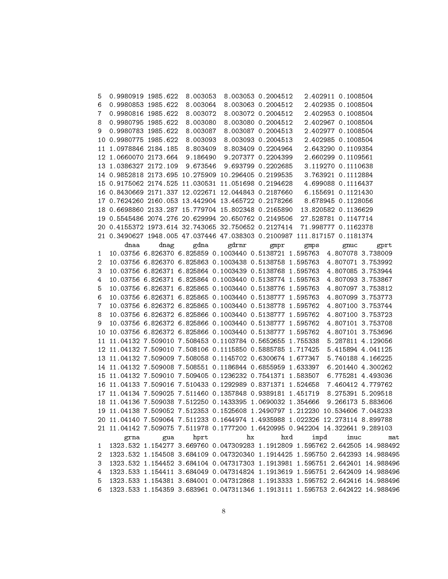| 5            | 0.9980919 1985.622<br>8.003053<br>8.003053 0.2004512<br>2.402911 0.1008504                                                                                   |
|--------------|--------------------------------------------------------------------------------------------------------------------------------------------------------------|
| 6            | 0.9980853 1985.622<br>8.003063 0.2004512<br>8.003064<br>2.402935 0.1008504                                                                                   |
| 7            | 0.9980816 1985.622<br>8.003072<br>8.003072 0.2004512<br>2.402953 0.1008504                                                                                   |
| 8            | 0.9980795 1985.622<br>8.003080<br>8.003080 0.2004512<br>2.402967 0.1008504                                                                                   |
| 9            | 0.9980783 1985.622<br>8.003087<br>8.003087 0.2004513<br>2.402977 0.1008504                                                                                   |
|              | 10 0.9980775 1985.622<br>8.003093<br>8.003093 0.2004513<br>2.402985 0.1008504                                                                                |
|              | 11 1.0978846 2184.185<br>8.803409<br>8.803409 0.2204964<br>2.643290 0.1109354                                                                                |
|              | 12 1.0660070 2173.664<br>9.186490<br>9.207377 0.2204399<br>2.660299 0.1109561                                                                                |
|              | 9.673546<br>13 1.0386327 2172.109<br>9.693799 0.2202685<br>3.119270 0.1110638                                                                                |
|              | 14 0.9852818 2173.695 10.275909 10.296405 0.2199535<br>3.763921 0.1112884                                                                                    |
|              | 15 0.9175062 2174.525 11.030531 11.051698 0.2194628<br>4.699088 0.1116437                                                                                    |
|              | 16 0.8430669 2171.337 12.022671 12.044843 0.2187660<br>6.155691 0.1121430                                                                                    |
|              | 17 0.7624260 2160.053 13.442904 13.465722 0.2178266<br>8.678945 0.1128056                                                                                    |
|              | 18 0.6698860 2133.287 15.779704 15.802348 0.2165890<br>13.820582 0.1136629                                                                                   |
|              | 19 0.5545486 2074.276 20.629994 20.650762 0.2149506<br>27.528781 0.1147714                                                                                   |
|              | 20 0.4155372 1973.614 32.743065 32.750652 0.2127414 71.998777 0.1162378                                                                                      |
|              | 21 0.3490627 1948.005 47.037446 47.038303 0.2100987 111.817157 0.1181374                                                                                     |
|              | gdrnr<br>dnaa<br>dnag<br>gdna<br>gmpr<br>gmps<br>gnuc<br>gprt                                                                                                |
| 1            | 10.03756 6.826370 6.825859 0.1003440 0.5138721 1.595763 4.807078 3.738009                                                                                    |
| 2            | 10.03756 6.826370 6.825863 0.1003438 0.5138758 1.595763 4.807071 3.753992                                                                                    |
| 3            | 10.03756 6.826371 6.825864 0.1003439 0.5138768 1.595763<br>4.807085 3.753944                                                                                 |
| 4            | 10.03756 6.826371 6.825864 0.1003440 0.5138774 1.595763<br>4.807093 3.753867                                                                                 |
| 5            | 10.03756 6.826371 6.825865 0.1003440 0.5138776 1.595763<br>4.807097 3.753812                                                                                 |
| 6            | 10.03756 6.826371 6.825865 0.1003440 0.5138777 1.595763<br>4.807099 3.753773                                                                                 |
| 7            | 10.03756 6.826372 6.825865 0.1003440 0.5138778 1.595762<br>4.807100 3.753744                                                                                 |
| 8            | 10.03756 6.826372 6.825866 0.1003440 0.5138777 1.595762<br>4.807100 3.753723                                                                                 |
| 9            | 10.03756 6.826372 6.825866 0.1003440 0.5138777 1.595762<br>4.807101 3.753708                                                                                 |
| 10           | 10.03756 6.826372 6.825866 0.1003440 0.5138777 1.595762<br>4.807101 3.753696                                                                                 |
|              | 11 11.04132 7.509010 7.508453 0.1103784 0.5652655 1.755338<br>5.287811 4.129056                                                                              |
|              | 12 11.04132 7.509010 7.508106 0.1115850 0.5885785 1.717425<br>5.415894 4.041125                                                                              |
|              | 13 11.04132 7.509009 7.508058 0.1145702 0.6300674 1.677347<br>5.740188 4.166225                                                                              |
|              | 14 11.04132 7.509008 7.508551 0.1186844 0.6855959 1.633397<br>6.201440 4.300262                                                                              |
|              | 15 11.04132 7.509010 7.509405 0.1236232 0.7541371 1.583507<br>6.775281 4.493036                                                                              |
|              | 16 11.04133 7.509016 7.510433 0.1292989 0.8371371 1.524658<br>7.460412 4.779762                                                                              |
|              | 17 11.04134 7.509025 7.511460 0.1357848 0.9389181 1.451719<br>8.275391 5.209518                                                                              |
|              | 18 11.04136 7.509038 7.512250 0.1433395 1.0690032 1.354666<br>9.266173 5.883606                                                                              |
|              | 19 11.04138 7.509052 7.512353 0.1525608 1.2490797 1.212230 10.534606 7.048233                                                                                |
|              | 20 11.04140 7.509064 7.511233 0.1644974 1.4935988 1.022326 12.273114 8.899788                                                                                |
|              | 21 11.04142 7.509075 7.511978 0.1777200 1.6420995 0.942204 14.322641 9.289103                                                                                |
|              | hx<br>impd                                                                                                                                                   |
|              | hprt<br>hxd<br>inuc<br>gua<br>mat<br>grna                                                                                                                    |
| $\mathbf{1}$ | 1323.532 1.154277 3.669760 0.047309283 1.1912809 1.595762 2.642505 14.988492                                                                                 |
| 2<br>3       | 1323.532 1.154508 3.684109 0.047320340 1.1914425 1.595750 2.642393 14.988495<br>1323.532 1.154452 3.684104 0.047317303 1.1913981 1.595751 2.642401 14.988496 |
|              | 1323.533 1.154411 3.684049 0.047314824 1.1913619 1.595751 2.642409 14.988496                                                                                 |
| 4            |                                                                                                                                                              |
| 5.           | 1323.533 1.154381 3.684001 0.047312868 1.1913333 1.595752 2.642416 14.988496                                                                                 |
| 6            | 1323.533 1.154359 3.683961 0.047311346 1.1913111 1.595753 2.642422 14.988496                                                                                 |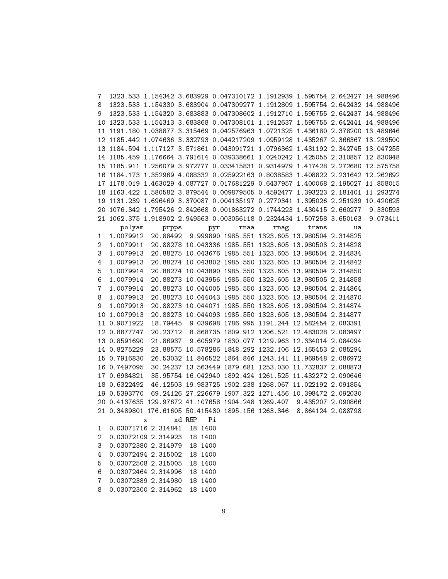| 7              | 1323.533 1.154342 3.683929 0.047310172 1.1912939 1.595754 2.642427 14.988496    |                                                         |               |          |
|----------------|---------------------------------------------------------------------------------|---------------------------------------------------------|---------------|----------|
| 8              | 1323.533 1.154330 3.683904 0.047309277 1.1912809 1.595754 2.642432 14.988496    |                                                         |               |          |
| 9              | 1323.533 1.154320 3.683883 0.047308602 1.1912710 1.595755 2.642437 14.988496    |                                                         |               |          |
|                | 10 1323.533 1.154313 3.683868 0.047308101 1.1912637 1.595755 2.642441 14.988496 |                                                         |               |          |
|                | 11 1191.180 1.038877 3.315469 0.042576963 1.0721325 1.436180 2.378200 13.489646 |                                                         |               |          |
|                | 12 1185.442 1.074636 3.332793 0.044217209 1.0959128 1.435267 2.366367 13.239500 |                                                         |               |          |
|                | 13 1184.594 1.117127 3.571861 0.043091721 1.0796362 1.431192 2.342745 13.047255 |                                                         |               |          |
|                | 14 1185.459 1.176664 3.791614 0.039338661 1.0240242 1.425055 2.310857 12.830948 |                                                         |               |          |
|                | 15 1185.911 1.256079 3.972777 0.033415831 0.9314979 1.417428 2.272680 12.575758 |                                                         |               |          |
|                | 16 1184.173 1.352969 4.088332 0.025922163 0.8038583 1.408822 2.231642 12.262692 |                                                         |               |          |
|                | 17 1178.019 1.463029 4.087727 0.017681229 0.6437957 1.400068 2.195027 11.858015 |                                                         |               |          |
|                | 18 1163.422 1.580582 3.879544 0.009879505 0.4592477 1.393223 2.181401 11.293274 |                                                         |               |          |
|                | 19 1131.239 1.696469 3.370087 0.004135197 0.2770341 1.395026 2.251939 10.420625 |                                                         |               |          |
|                | 20 1076.342 1.795426 2.842668 0.001863272 0.1744223 1.430415 2.660277 9.330593  |                                                         |               |          |
|                | 21 1062.375 1.918902 2.949563 0.003056118 0.2324434 1.507258 3.650163           |                                                         |               | 9.073411 |
|                | polyam<br>prpps                                                                 | rnaa<br>pyr                                             | trans<br>rnag | ua       |
| $\mathbf{1}$   | 1.0079912  20.88492  9.999890  1985.551  1323.605  13.980504  2.314825          |                                                         |               |          |
| 2              | 1.0079911                                                                       | 20.88278 10.043336 1985.551 1323.605 13.980503 2.314828 |               |          |
| 3              | 1.0079913                                                                       | 20.88275 10.043676 1985.551 1323.605 13.980504 2.314834 |               |          |
| 4              | 1.0079913                                                                       | 20.88274 10.043802 1985.550 1323.605 13.980504 2.314842 |               |          |
| 5              | 1.0079914                                                                       | 20.88274 10.043890 1985.550 1323.605 13.980504 2.314850 |               |          |
| 6              | 1.0079914                                                                       | 20.88273 10.043956 1985.550 1323.605 13.980505 2.314858 |               |          |
| 7              | 1.0079914                                                                       | 20.88273 10.044005 1985.550 1323.605 13.980504 2.314864 |               |          |
| 8              | 1.0079913                                                                       | 20.88273 10.044043 1985.550 1323.605 13.980504 2.314870 |               |          |
| 9              | 1.0079913                                                                       | 20.88273 10.044071 1985.550 1323.605 13.980504 2.314874 |               |          |
|                | 10 1.0079913                                                                    | 20.88273 10.044093 1985.550 1323.605 13.980504 2.314877 |               |          |
|                | 11 0.9071922                                                                    | 18.79445 9.039698 1786.995 1191.244 12.582454 2.083391  |               |          |
|                | 12 0.8877747                                                                    | 20.23712 8.868735 1809.912 1206.521 12.483028 2.083497  |               |          |
|                | 13 0.8591690                                                                    | 21.86937 9.605979 1830.077 1219.963 12.334014 2.084094  |               |          |
|                | 14 0.8275229                                                                    | 23.88575 10.578286 1848.292 1232.106 12.165453 2.085294 |               |          |
|                | 15 0.7916830                                                                    | 26.53032 11.846522 1864.846 1243.141 11.969548 2.086972 |               |          |
|                | 16 0.7497095                                                                    | 30.24237 13.563449 1879.681 1253.030 11.732837 2.088873 |               |          |
|                | 17 0.6984821                                                                    | 35.95754 16.042940 1892.424 1261.525 11.432272 2.090646 |               |          |
|                | 18 0.6322492 46.12503 19.983725 1902.238 1268.067 11.022192 2.091854            |                                                         |               |          |
|                | 19 0.5393770                                                                    | 69.24126 27.226679 1907.322 1271.456 10.398472 2.092030 |               |          |
|                | 20 0.4137635 129.97672 41.107658 1904.248 1269.407 9.435207 2.090866            |                                                         |               |          |
|                | 21 0.3489801 176.61605 50.415430 1895.156 1263.346 8.864124 2.088798            |                                                         |               |          |
|                | x xdR5P Pi                                                                      |                                                         |               |          |
| $\mathbf{1}$   | 0.03071716 2.314841 18 1400                                                     |                                                         |               |          |
| $\overline{2}$ | 0.03072109 2.314923 18 1400                                                     |                                                         |               |          |
| 3              | 0.03072380 2.314979                                                             | 18 1400                                                 |               |          |
| 4              | 0.03072494 2.315002                                                             | 18 1400                                                 |               |          |
| 5              | 0.03072508 2.315005                                                             | 18 1400                                                 |               |          |
| 6              | 0.03072464 2.314996                                                             | 18 1400                                                 |               |          |
| 7              | 0.03072389 2.314980                                                             | 18 1400                                                 |               |          |
| 8              | 0.03072300 2.314962                                                             | 18 1400                                                 |               |          |
|                |                                                                                 |                                                         |               |          |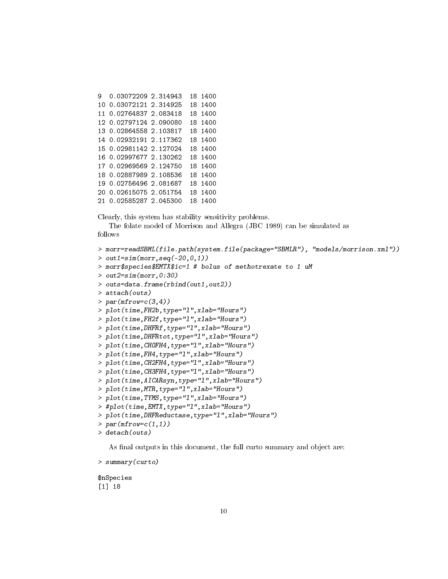```
9 0.03072209 2.314943 18 1400
10 0.03072121 2.314925 18 1400
11 0.02764837 2.083418 18 1400
12 0.02797124 2.090080 18 1400
13 0.02864558 2.103817 18 1400
14 0.02932191 2.117362 18 1400
15 0.02981142 2.127024 18 1400
16 0.02997677 2.130262 18 1400
17 0.02969569 2.124750 18 1400
18 0.02887989 2.108536 18 1400
19 0.02756496 2.081687 18 1400
20 0.02615075 2.051754 18 1400
21 0.02585287 2.045300 18 1400
```
Clearly, this system has stability sensitivity problems.

The folate model of Morrison and Allegra (JBC 1989) can be simulated as follows

```
> morr=readSBML(file.path(system.file(package="SBMLR"), "models/morrison.xml"))
> out1=sim(morr, seq(-20,0,1))
> morr$species$EMTX$ic=1 # bolus of methotrexate to 1 uM
> out2 = \sin(morr, 0:30)> outs=data.frame(rbind(out1,out2))
> attach(outs)
> par(mfrow=c(3,4))> plot(time,FH2b,type="l",xlab="Hours")
> plot(time,FH2f,type="l",xlab="Hours")
> plot(time,DHFRf,type="l",xlab="Hours")
> plot(time,DHFRtot,type="l",xlab="Hours")
> plot(time,CHOFH4,type="l",xlab="Hours")
> plot(time,FH4,type="l",xlab="Hours")
> plot(time,CH2FH4,type="l",xlab="Hours")
> plot(time,CH3FH4,type="l",xlab="Hours")
> plot(time,AICARsyn,type="l",xlab="Hours")
> plot(time,MTR,type="l",xlab="Hours")
> plot(time,TYMS,type="l",xlab="Hours")
> #plot(time,EMTX,type="l",xlab="Hours")
> plot(time,DHFReductase,type="l",xlab="Hours")
> par(mfrow=c(1,1))> detach(outs)
```
As final outputs in this document, the full curto summary and object are:

> summary(curto)

\$nSpecies [1] 18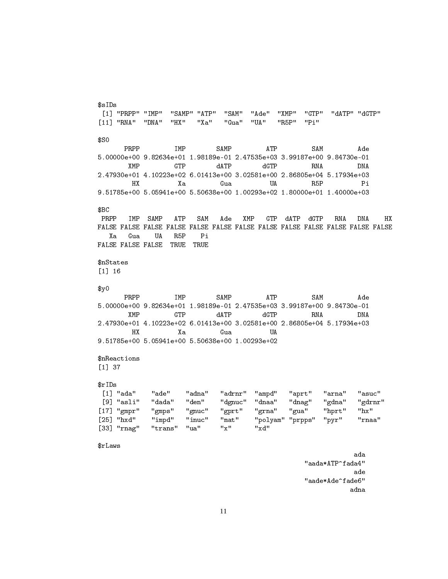```
[1] "PRPP" "IMP" "SAMP" "ATP" "SAM" "Ade" "XMP" "GTP" "dATP" "dGTP"
[11] "RNA" "DNA" "HX" "Xa" "Gua" "UA" "R5P" "Pi"
$S0
     PRPP IMP SAMP ATP SAM Ade
5.00000e+00 9.82634e+01 1.98189e-01 2.47535e+03 3.99187e+00 9.84730e-01
      XMP GTP dATP dGTP RNA DNA
2.47930e+01 4.10223e+02 6.01413e+00 3.02581e+00 2.86805e+04 5.17934e+03
       HX Xa Gua UA R5P Pi
9.51785e+00 5.05941e+00 5.50638e+00 1.00293e+02 1.80000e+01 1.40000e+03
$BC
PRPP IMP SAMP ATP SAM Ade XMP GTP dATP dGTP RNA DNA HX
FALSE FALSE FALSE FALSE FALSE FALSE FALSE FALSE FALSE FALSE FALSE FALSE FALSE
  Xa Gua UA R5P Pi
FALSE FALSE FALSE TRUE TRUE
$nStates
[1] 16
$y0PRPP IMP SAMP ATP SAM Ade
5.00000e+00 9.82634e+01 1.98189e-01 2.47535e+03 3.99187e+00 9.84730e-01
      XMP GTP dATP dGTP RNA DNA
2.47930e+01 4.10223e+02 6.01413e+00 3.02581e+00 2.86805e+04 5.17934e+03
       HX Xa Gua UA
9.51785e+00 5.05941e+00 5.50638e+00 1.00293e+02
$nReactions
[1] 37
$rIDs
[1] "ada" "ade" "adna" "adrnr" "ampd" "aprt" "arna" "asuc"
[9] "asli" "dada" "den" "dgnuc" "dnaa" "dnag" "gdna" "gdrnr"
[17] "gmpr" "gmps" "gnuc" "gprt" "grna" "gua" "hprt" "hx"
           "impd" "inuc" "mat" "polyam" "prpps" "pyr" "rnaa"<br>"trans" "ua" "x" "xd"
[33] "rnag" "trans" "ua"
$rLaws
                                                     ada
```
\$sIDs

"aada\*ATP^fada4" ade "aade\*Ade^fade6" adna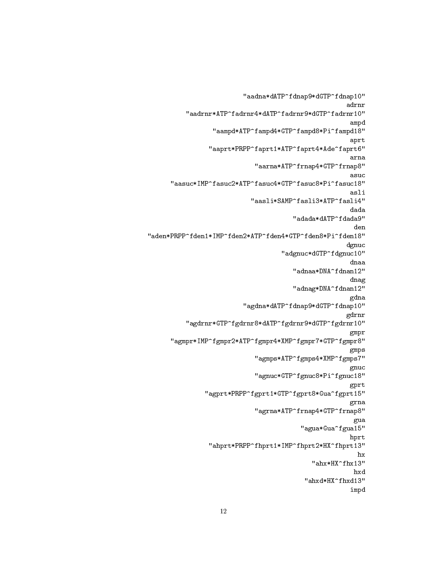```
"aadna*dATP^fdnap9*dGTP^fdnap10"
                                                      adrnr
          "aadrnr*ATP^fadrnr4*dATP^fadrnr9*dGTP^fadrnr10"
                                                       ampd
                 "aampd*ATP^fampd4*GTP^fampd8*Pi^fampd18"
                                                       aprt
                "aaprt*PRPP^faprt1*ATP^faprt4*Ade^faprt6"
                                                       arna
                             "aarna*ATP^frnap4*GTP^frnap8"
                                                       asuc
      "aasuc*IMP^fasuc2*ATP^fasuc4*GTP^fasuc8*Pi^fasuc18"
                                                       asli
                           "aasli*SAMP^fasli3*ATP^fasli4"
                                                       dada
                                       "adada*dATP^fdada9"
                                                        den
"aden*PRPP^fden1*IMP^fden2*ATP^fden4*GTP^fden8*Pi^fden18"
                                                      dgnuc
                                    "adgnuc*dGTP^fdgnuc10"
                                                       dnaa
                                       "adnaa*DNA^fdnan12"
                                                       dnag
                                       "adnag*DNA^fdnan12"
                                                       gdna
                          "agdna*dATP^fdnap9*dGTP^fdnap10"
                                                      gdrnr
          "agdrnr*GTP^fgdrnr8*dATP^fgdrnr9*dGTP^fgdrnr10"
                                                       gmpr
      "agmpr*IMP^fgmpr2*ATP^fgmpr4*XMP^fgmpr7*GTP^fgmpr8"
                                                       gmps
                             "agmps*ATP^fgmps4*XMP^fgmps7"
                                                       gnuc
                             "agnuc*GTP^fgnuc8*Pi^fgnuc18"
                                                       gprt
               "agprt*PRPP^fgprt1*GTP^fgprt8*Gua^fgprt15"
                                                       grna
                             "agrna*ATP^frnap4*GTP^frnap8"
                                                       gua
                                         "agua*Gua^fgua15"
                                                       hprt
                "ahprt*PRPP^fhprt1*IMP^fhprt2*HX^fhprt13"
                                                        hx
                                            "ahx*HX^fhx13"
                                                       hxd
                                          "ahxd*HX^fhxd13"
                                                       impd
```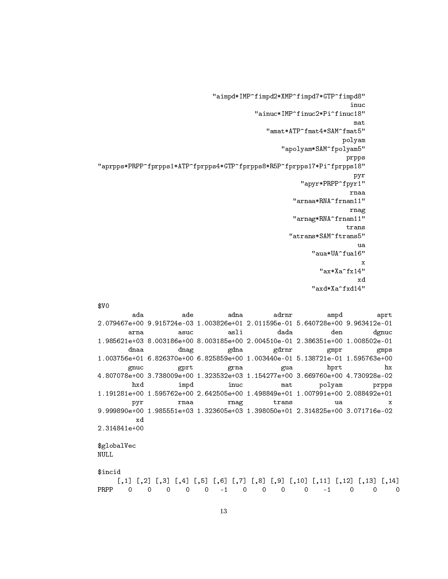```
"aimpd*IMP^fimpd2*XMP^fimpd7*GTP^fimpd8"
                                                                        inuc
                                            "ainuc*IMP^finuc2*Pi^finuc18"
                                                                         mat
                                                "amat*ATP^fmat4*SAM^fmat5"
                                                                      polyam
                                                    "apolyam*SAM^fpolyam5"
                                                                       prpps
"aprpps*PRPP^fprpps1*ATP^fprpps4*GTP^fprpps8*R5P^fprpps17*Pi^fprpps18"
                                                                         pyr
                                                          "apyr*PRPP^fpyr1"
                                                                        rnaa
                                                        "arnaa*RNA^frnan11"
                                                                        rnag
                                                       "arnag*RNA^frnan11"
                                                                       trans
                                                      "atrans*SAM^ftrans5"
                                                                          ua
                                                             "aua*UA^fua16"
                                                                           \mathbf x"ax*Xa^fx14"
                                                                          x<sub>d</sub>"axd*Xa^fxd14"
$VQada
                       ade
                                     adna
                                                  adrnr
                                                                 ampd
                                                                               aprt
2.079467e+00 9.915724e-03 1.003826e+01 2.011595e-01 5.640728e+00 9.963412e-01
        arna
                       asuc
                                     asli
                                                   dada
                                                                  den
                                                                              dgnuc
1.985621e+03 8.003186e+00 8.003185e+00 2.004510e-01 2.386351e+00 1.008502e-01
        dnaa
                       dnag
                                     gdna
                                                 gdrnr
                                                                 gmprgmps1.003756e+01 6.826370e+00 6.825859e+00 1.003440e-01 5.138721e-01 1.595763e+00
                                                                                  hx
        gnuc
                       gprt
                                     grna
                                                    gua
                                                                 hprt
4.807078e+00 3.738009e+00 1.323532e+03 1.154277e+00 3.669760e+00 4.730928e-02
         hxd
                       impd
                                     inuc
                                                    \tt{mat}polyam
                                                                              prpps
1.191281e+00 1.595762e+00 2.642505e+00 1.498849e+01 1.007991e+00 2.088492e+01
                                                  trans
         pyr
                      rnaa
                                     rnag
                                                                   ua
                                                                                   \mathbf x9.999890e+00 1.985551e+03 1.323605e+03 1.398050e+01 2.314825e+00 3.071716e-02
          xd
2.314841e+00
$globalVec
NULL
$incid
     [,1] [,2] [,3] [,4] [,5] [,6] [,7] [,8] [,9] [,10] [,11] [,12] [,13] [,14]PRPP
       \overline{O}\overline{0}\overline{0}0\qquad 0-10\qquad 0\overline{O}\overline{O}-1\overline{0}\overline{0}
```
 $\Omega$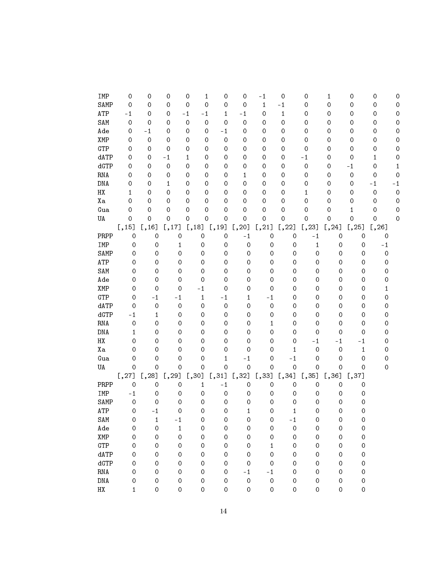| IMP                         | 0                   | 0                | 0           | 0                   | $\mathbf{1}$<br>$\mathsf{O}\xspace$ | 0            | $-1$                | 0            | $\mathsf{O}\xspace$ | $\mathbf{1}$ | 0            | 0                   | 0   |
|-----------------------------|---------------------|------------------|-------------|---------------------|-------------------------------------|--------------|---------------------|--------------|---------------------|--------------|--------------|---------------------|-----|
| SAMP                        | 0                   | 0                | 0           | $\mathbf 0$         | $\mathsf O$<br>$\boldsymbol{0}$     | 0            | $\mathbf{1}$        | $-1$         | $\boldsymbol{0}$    | $\hbox{O}$   | 0            | $\hbox{O}$          | 0   |
| ATP                         | $-1$                | 0                | 0           | $-1$<br>$-1$        | $\mathbf{1}$                        | $-1$         | $\boldsymbol{0}$    | $\mathbf{1}$ | $\boldsymbol{0}$    | 0            | 0            | 0                   | 0   |
| SAM                         | $\mathbf 0$         | 0                | 0           | $\mathbf 0$         | $\boldsymbol{0}$<br>$\mathbf 0$     | $\hbox{O}$   | 0                   | $\hbox{O}$   | $\boldsymbol{0}$    | 0            | 0            | 0                   | 0   |
| Ade                         | 0                   | $-1$             | 0           | 0                   | $-1$<br>0                           | 0            | 0                   | 0            | $\boldsymbol{0}$    | 0            | 0            | 0                   | 0   |
| XMP                         | 0                   | $\mathbf 0$      | 0           | 0                   | $\mathbf 0$<br>0                    | 0            | 0                   | 0            | $\mathbf 0$         | 0            | 0            | 0                   | 0   |
| GTP                         | 0                   | 0                | $\mathbf 0$ | 0                   | $\boldsymbol{0}$<br>0               | 0            | 0                   | 0            | $\boldsymbol{0}$    | 0            | 0            | 0                   | 0   |
| dATP                        | 0                   | 0                | $-1$        | $\mathbf{1}$        | 0<br>$\mathbf 0$                    | 0            | 0                   | 0            | $-1$                | 0            | $\mathbf 0$  | $\mathbf{1}$        | 0   |
| dGTP                        | 0                   | 0                | $\mathbf 0$ | 0                   | 0<br>$\mathbf 0$                    | 0            | 0                   | 0            | $\mathbf 0$         | 0            | $-1$         | 0                   | 1   |
| RNA                         | 0                   | 0                | 0           | 0                   | 0<br>$\mathbf 0$                    | $\mathbf{1}$ | 0                   | 0            | $\mathsf{O}\xspace$ | 0            | $\hbox{O}$   | 0                   | 0   |
| DNA                         | 0                   | 0                | 1           | 0                   | 0<br>$\mathbf 0$                    | $\mathsf O$  | 0                   | 0            | $\mathsf{O}\xspace$ | 0            | 0            | $-1$                | - 1 |
| $_{\rm HX}$                 | $\mathbf{1}$        | 0                | 0           | 0                   | 0<br>$\mathbf 0$                    | 0            | 0                   | 0            | $\mathbf{1}$        | 0            | 0            | $\mathbf 0$         | 0   |
| Хa                          | 0                   | 0                | 0           | 0                   | 0<br>0                              | 0            | 0                   | 0            | $\mathbf 0$         | 0            | 0            | 0                   | 0   |
| Gua                         | 0                   | 0                | 0           | 0                   | 0<br>0                              | 0            | $\mathbf 0$         | 0            | $\boldsymbol{0}$    | 0            | 1            | 0                   | 0   |
| UA                          | $\mathsf{O}\xspace$ | $\mathsf O$      | 0           | $\mathsf O$         | 0<br>$\mathbf 0$                    | $\mathsf O$  | $\mathbf 0$         | $\mathsf O$  | $\mathbf 0$         | $\mathbf 0$  | $\mathsf O$  | $\mathsf O$         | 0   |
|                             | [, 15]              | [,16]            | [,17]       | $[,18]$ $[,19]$     |                                     | [, 20]       | [, 21]              | [,22]        | [, 23]              | [, 24]       | [, 25]       | [, 26]              |     |
| PRPP                        | $\mathbf 0$         | $\mathbf 0$      | $\hbox{O}$  | $\mathbf 0$         | $\mathbf 0$                         | $-1$         | $\mathbf 0$         | $\hbox{O}$   | $-1$                | $\mathbf 0$  | $\mathbf 0$  | 0                   |     |
| IMP                         | 0                   | $\mathbf 0$      | 1           | $\mathbf 0$         | $\mathbf 0$                         | $\mathbf 0$  | $\mathbf 0$         | 0            | $\mathbf{1}$        | $\hbox{O}$   | $\mathbf 0$  | $-1$                |     |
| SAMP                        | 0                   | $\boldsymbol{0}$ | 0           | $\boldsymbol{0}$    | $\boldsymbol{0}$                    | 0            | $\boldsymbol{0}$    | 0            | 0                   | 0            | 0            | $\mathsf{O}\xspace$ |     |
| ATP                         | 0                   | $\boldsymbol{0}$ | 0           | $\boldsymbol{0}$    | $\boldsymbol{0}$                    | 0            | $\boldsymbol{0}$    | 0            | 0                   | 0            | 0            | 0                   |     |
| SAM                         | 0                   | $\boldsymbol{0}$ | 0           | $\boldsymbol{0}$    | $\boldsymbol{0}$                    | 0            | $\boldsymbol{0}$    | 0            | 0                   | 0            | 0            | 0                   |     |
| Ade                         | 0                   | $\boldsymbol{0}$ | 0           | $\mathbf 0$         | $\boldsymbol{0}$                    | 0            | $\boldsymbol{0}$    | 0            | 0                   | 0            | 0            | 0                   |     |
| XMP                         | 0                   | $\mathbf 0$      | 0           | $-1$                | $\mathbf 0$                         | 0            | $\mathbf 0$         | 0            | 0                   | 0            | 0            | $\mathbf{1}$        |     |
| GTP                         | 0                   | $-1$             | $-1$        | $\mathbf{1}$        | $-1$                                | 1            | $-1$                | 0            | 0                   | 0            | 0            | 0                   |     |
| dATP                        | 0                   | $\mathbf 0$      | $\mathbf 0$ | $\mathbf 0$         | $\mathbf 0$                         | 0            | $\mathbf 0$         | 0            | 0                   | 0            | 0            | 0                   |     |
| dGTP                        | $-1$                | 1                | 0           | $\mathbf 0$         | $\mathbf 0$                         | 0            | $\mathbf 0$         | 0            | 0                   | 0            | 0            | 0                   |     |
| RNA                         | 0                   | $\mathbf 0$      | 0           | $\mathbf 0$         | $\mathbf 0$                         | 0            | $\mathbf{1}$        | 0            | 0                   | 0            | 0            | 0                   |     |
| DNA                         | 1                   | $\mathbf 0$      | 0           | $\mathbf 0$         | $\mathbf 0$                         | 0            | 0                   | 0            | 0                   | 0            | 0            | 0                   |     |
| $_{\rm HX}$                 | 0                   | $\mathbf 0$      | 0           | $\mathbf 0$         | $\mathbf 0$                         | 0            | $\mathbf 0$         | 0            | $-1$                | $-1$         | $-1$         | 0                   |     |
| Хa                          | 0                   | 0                | 0           | $\mathbf 0$         | 0                                   | 0            | $\mathbf 0$         | 1            | 0                   | 0            | $\mathbf{1}$ | 0                   |     |
| Gua                         | 0                   | 0                | 0           | 0                   | 1                                   | $-1$         | $\mathsf{O}\xspace$ | $-1$         | 0                   | 0            | 0            | 0                   |     |
| UA                          | $\hbox{O}$          | $\mathbf 0$      | 0           | $\mathsf{O}\xspace$ | $\hbox{O}$                          | $\mathbf 0$  | $\mbox{O}$          | 0            | $\hbox{O}$          | $\hbox{O}$   | 0            | $\mathbf 0$         |     |
|                             | [,27]               | [, 28]           | [, 29]      | [,30]               | [,31]                               | [,32]        | [,33]               | [,34]        | [,35]               | [,36]        | [,37]        |                     |     |
| PRPP                        | $\mathbf 0$         | $\mathbf 0$      | $\mathbf 0$ | $\mathbf{1}$        | $-1$                                | 0            | 0                   | $\hbox{O}$   | $\boldsymbol{0}$    | 0            | 0            |                     |     |
| IMP                         | $-1$                | $\mathbf 0$      | 0           | $\mathbf 0$         | $\mathbf 0$                         | 0            | $\mathbf 0$         | 0            | 0                   | 0            | 0            |                     |     |
| SAMP                        | $\mathsf{O}\xspace$ | 0                | 0           | 0                   | $\mathbf 0$                         | 0            | 0                   | 0            | 0                   | 0            | 0            |                     |     |
| ATP                         | 0                   | $-1$             | 0           | 0                   | $\mathsf{O}\xspace$                 | 1            | 0                   | 1            | 0                   | 0            | 0            |                     |     |
| SAM                         | 0                   | $\mathbf{1}$     | - 1         | 0                   | 0                                   | 0            | 0                   | - 1          | 0                   | 0            | 0            |                     |     |
| Ade                         | 0                   | 0                | 1           | 0                   | $\boldsymbol{0}$                    | 0            | 0                   | 0            | $\boldsymbol{0}$    | 0            | 0            |                     |     |
| XMP                         | 0                   | $\boldsymbol{0}$ | $\hbox{O}$  | 0                   | $\mathbf 0$                         | 0            | $\mathbf 0$         | 0            | 0                   | 0            | 0            |                     |     |
| GTP                         | 0                   | $\boldsymbol{0}$ | 0           | 0                   | $\boldsymbol{0}$                    | 0            | $\mathbf{1}$        | 0            | 0                   | 0            | $\hbox{O}$   |                     |     |
| dATP                        | 0                   | $\mathbf 0$      | 0           | 0                   | 0                                   | 0            | $\mathbf 0$         | 0            | 0                   | 0            | 0            |                     |     |
| dGTP                        | 0                   | 0                | 0           | 0                   | 0                                   | 0            | $\mathbf 0$         | 0            | 0                   | 0            | 0            |                     |     |
| $\mathop{\rm RNA}\nolimits$ | 0                   | 0                | 0           | 0                   | $\boldsymbol{0}$                    | $-1$         | $-1$                | 0            | 0                   | 0            | 0            |                     |     |
| $\rm DNA$                   | 0                   | 0                | 0           | 0                   | 0                                   | $\mathbf 0$  | $\hbox{O}$          | 0            | 0                   | 0            | 0            |                     |     |
| $_{\rm HX}$                 | 1                   | 0                | 0           | 0                   | 0                                   | 0            | 0                   | 0            | 0                   | 0            | 0            |                     |     |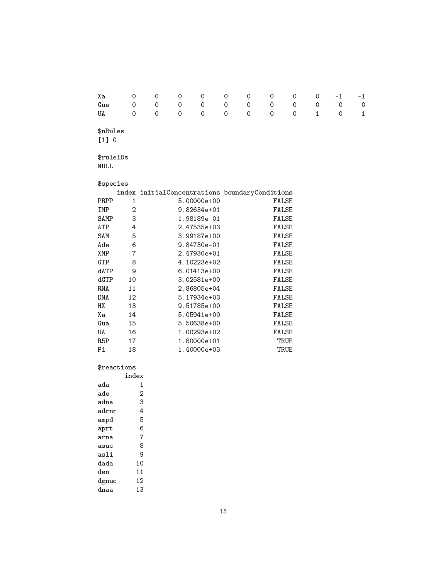| Хa                       | 0              | 0                                              | 0           | 0           | 0           | 0 | 0 | 0            | 0    | $-1$        | $-1$         |
|--------------------------|----------------|------------------------------------------------|-------------|-------------|-------------|---|---|--------------|------|-------------|--------------|
| Gua                      | 0              | 0                                              | 0           | 0           | $\mathbf 0$ | 0 | 0 | 0            | 0    | $\mathbf 0$ | $\mathbf 0$  |
| UA                       | 0              | $\mathbf 0$                                    | $\mathbf 0$ | 0           | $\mathbf 0$ | 0 | 0 | 0            | $-1$ | 0           | $\mathbf{1}$ |
| \$nRules<br>[1] 0        |                |                                                |             |             |             |   |   |              |      |             |              |
| \$ruleIDs<br><b>NULL</b> |                |                                                |             |             |             |   |   |              |      |             |              |
| \$species                |                |                                                |             |             |             |   |   |              |      |             |              |
|                          |                | index initialConcentrations boundaryConditions |             |             |             |   |   |              |      |             |              |
| PRPP                     | $\mathbf{1}$   |                                                |             | 5.00000e+00 |             |   |   | <b>FALSE</b> |      |             |              |
| IMP                      | $\overline{2}$ |                                                |             | 9.82634e+01 |             |   |   | FALSE        |      |             |              |
| SAMP                     | 3              |                                                |             | 1.98189e-01 |             |   |   | FALSE        |      |             |              |
| ATP                      | 4              |                                                |             | 2.47535e+03 |             |   |   | FALSE        |      |             |              |
| SAM                      | 5              |                                                |             | 3.99187e+00 |             |   |   | FALSE        |      |             |              |
| Ade                      | 6              |                                                |             | 9.84730e-01 |             |   |   | FALSE        |      |             |              |
| XMP                      | 7              |                                                |             | 2.47930e+01 |             |   |   | <b>FALSE</b> |      |             |              |
| GTP                      | 8              |                                                |             | 4.10223e+02 |             |   |   | FALSE        |      |             |              |
| dATP                     | 9              |                                                |             | 6.01413e+00 |             |   |   | FALSE        |      |             |              |
| dGTP                     | 10             |                                                |             | 3.02581e+00 |             |   |   | <b>FALSE</b> |      |             |              |
| <b>RNA</b>               | 11             |                                                |             | 2.86805e+04 |             |   |   | FALSE        |      |             |              |
| <b>DNA</b>               | 12             |                                                |             | 5.17934e+03 |             |   |   | <b>FALSE</b> |      |             |              |
| HX                       | 13             |                                                |             | 9.51785e+00 |             |   |   | FALSE        |      |             |              |
| Хa                       | 14             |                                                |             | 5.05941e+00 |             |   |   | FALSE        |      |             |              |
| Gua                      | 15             |                                                |             | 5.50638e+00 |             |   |   | FALSE        |      |             |              |
| <b>UA</b>                | 16             |                                                |             | 1.00293e+02 |             |   |   | <b>FALSE</b> |      |             |              |
| R <sub>5</sub> P         | 17             |                                                |             | 1.80000e+01 |             |   |   | TRUE         |      |             |              |
| Pi                       | 18             |                                                |             | 1.40000e+03 |             |   |   | TRUE         |      |             |              |
|                          |                |                                                |             |             |             |   |   |              |      |             |              |

### $\mathop{\$}$ reactions

|       | index |
|-------|-------|
| ada   | 1     |
| ade   | 2     |
| adna  | 3     |
| adrnr | 4     |
| ampd  | 5     |
| aprt  | 6     |
| arna  | 7     |
| asuc  | 8     |
| asli  | 9     |
| dada  | 10    |
| den   | 11    |
| dgnuc | 12    |
| dnaa  | 13    |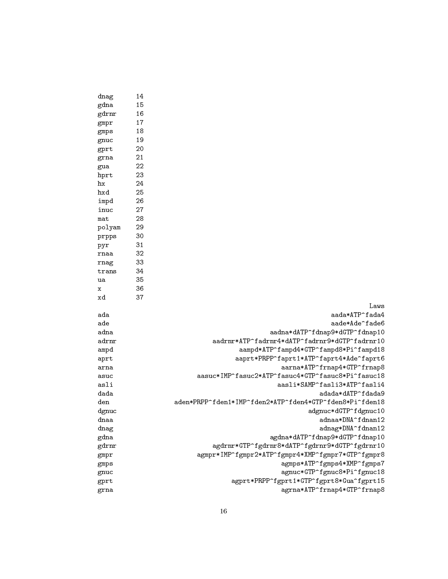| dnag   | 14 |                                                         |
|--------|----|---------------------------------------------------------|
| gdna   | 15 |                                                         |
| gdrnr  | 16 |                                                         |
| gmpr   | 17 |                                                         |
| gmps   | 18 |                                                         |
| gnuc   | 19 |                                                         |
| gprt   | 20 |                                                         |
| grna   | 21 |                                                         |
| gua    | 22 |                                                         |
| hprt   | 23 |                                                         |
| hx     | 24 |                                                         |
| hxd    | 25 |                                                         |
| impd   | 26 |                                                         |
| inuc   | 27 |                                                         |
| mat    | 28 |                                                         |
| polyam | 29 |                                                         |
| prpps  | 30 |                                                         |
| pyr    | 31 |                                                         |
| rnaa   | 32 |                                                         |
| rnag   | 33 |                                                         |
| trans  | 34 |                                                         |
| ua     | 35 |                                                         |
| x      | 36 |                                                         |
| xd     | 37 |                                                         |
|        |    | Laws                                                    |
| ada    |    | aada*ATP^fada4                                          |
| ade    |    | aade*Ade^fade6                                          |
| adna   |    | aadna*dATP^fdnap9*dGTP^fdnap10                          |
| adrnr  |    | aadrnr*ATP^fadrnr4*dATP^fadrnr9*dGTP^fadrnr10           |
| ampd   |    | aampd*ATP^fampd4*GTP^fampd8*Pi^fampd18                  |
| aprt   |    | aaprt*PRPP^faprt1*ATP^faprt4*Ade^faprt6                 |
| arna   |    | aarna*ATP^frnap4*GTP^frnap8                             |
| asuc   |    | aasuc*IMP^fasuc2*ATP^fasuc4*GTP^fasuc8*Pi^fasuc18       |
| asli   |    | aasli*SAMP^fasli3*ATP^fasli4                            |
| dada   |    | adada*dATP^fdada9                                       |
| den    |    | aden*PRPP^fden1*IMP^fden2*ATP^fden4*GTP^fden8*Pi^fden18 |
| dgnuc  |    | adgnuc*dGTP^fdgnuc10                                    |
| dnaa   |    | adnaa*DNA^fdnan12                                       |
| dnag   |    | adnag*DNA^fdnan12                                       |
| gdna   |    | agdna*dATP^fdnap9*dGTP^fdnap10                          |
| gdrnr  |    | agdrnr*GTP^fgdrnr8*dATP^fgdrnr9*dGTP^fgdrnr10           |
| gmpr   |    | agmpr*IMP^fgmpr2*ATP^fgmpr4*XMP^fgmpr7*GTP^fgmpr8       |
| gmps   |    | agmps*ATP^fgmps4*XMP^fgmps7                             |
| gnuc   |    | agnuc*GTP^fgnuc8*Pi^fgnuc18                             |
| gprt   |    | agprt*PRPP^fgprt1*GTP^fgprt8*Gua^fgprt15                |
| grna   |    | agrna*ATP^frnap4*GTP^frnap8                             |
|        |    |                                                         |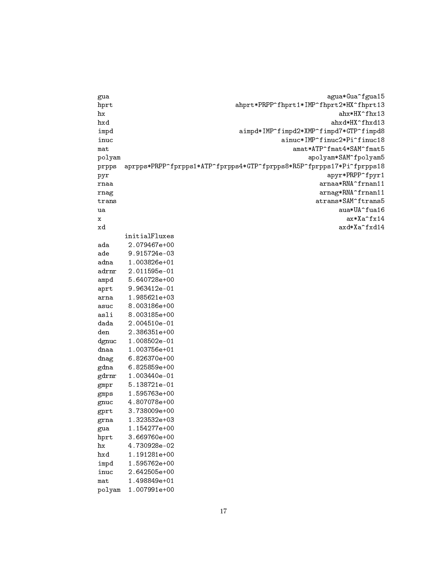| gua           | agua*Gua^fgua15                                                      |
|---------------|----------------------------------------------------------------------|
| hprt          | ahprt*PRPP^fhprt1*IMP^fhprt2*HX^fhprt13                              |
| hx            | ahx*HX^fhx13                                                         |
| hxd           | ahxd*HX^fhxd13                                                       |
| impd          | aimpd*IMP^fimpd2*XMP^fimpd7*GTP^fimpd8                               |
| inuc          | ainuc*IMP^finuc2*Pi^finuc18                                          |
| mat           | amat*ATP^fmat4*SAM^fmat5                                             |
| polyam        | apolyam*SAM^fpolyam5                                                 |
|               | aprpps*PRPP^fprpps1*ATP^fprpps4*GTP^fprpps8*R5P^fprpps17*Pi^fprpps18 |
| prpps<br>pyr  | apyr*PRPP^fpyr1                                                      |
| rnaa          | arnaa*RNA^frnan11                                                    |
|               |                                                                      |
| rnag          | arnag*RNA^frnan11<br>atrans*SAM^ftrans5                              |
| trans         |                                                                      |
| ua            | aua*UA^fua16                                                         |
| х             | ax*Xa^fx14                                                           |
| xd            | axd*Xa^fxd14                                                         |
|               | initialFluxes                                                        |
| ada           | 2.079467e+00                                                         |
| ade           | 9.915724e-03                                                         |
| adna          | 1.003826e+01                                                         |
| adrnr         | 2.011595e-01                                                         |
| ampd          | 5.640728e+00                                                         |
| aprt          | 9.963412e-01                                                         |
| arna          | 1.985621e+03                                                         |
| asuc          | 8.003186e+00                                                         |
| asli          | 8.003185e+00                                                         |
| dada          | 2.004510e-01                                                         |
| den           | 2.386351e+00                                                         |
| dgnuc         | 1.008502e-01                                                         |
| dnaa          | 1.003756e+01                                                         |
| dnag          | 6.826370e+00                                                         |
| gdna          | 6.825859e+00                                                         |
| gdrnr         | 1.003440e-01                                                         |
| gmpr          | 5.138721e-01                                                         |
| $_{\rm gmps}$ | 1.595763e+00                                                         |
| gnuc          | 4.807078e+00                                                         |
| grrt          | 3.738009e+00                                                         |
| grna          | 1.323532e+03                                                         |
| gua           | 1.154277e+00                                                         |
| hprt          | 3.669760e+00                                                         |
| hx            | 4.730928e-02                                                         |
| hxd           | 1.191281e+00                                                         |
| impd          | 1.595762e+00                                                         |
| inuc          | 2.642505e+00                                                         |
| mat           | 1.498849e+01                                                         |
|               |                                                                      |
| polyam        | 1.007991e+00                                                         |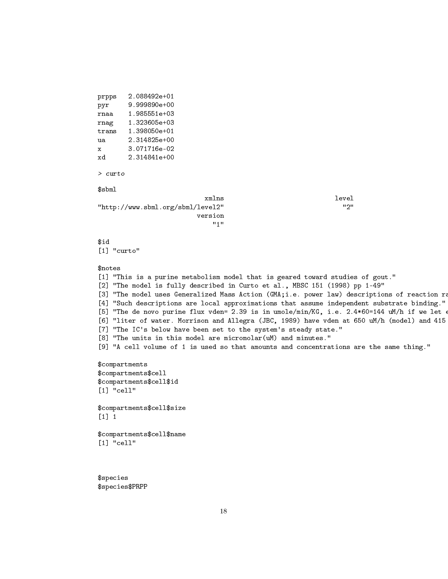```
prpps 2.088492e+01
pyr 9.999890e+00
rnaa 1.985551e+03
rnag 1.323605e+03
trans 1.398050e+01
ua 2.314825e+00
x 3.071716e-02
xd 2.314841e+00
> curto
$sbml
                          xmlns level
"http://www.sbml.org/sbml/level2" "2"
                        version
                            "1"
$id
[1] "curto"
$notes
[1] "This is a purine metabolism model that is geared toward studies of gout."
[2] "The model is fully described in Curto et al., MBSC 151 (1998) pp 1-49"
[3] "The model uses Generalized Mass Action (GMA;i.e. power law) descriptions of reaction rate
[4] "Such descriptions are local approximations that assume independent substrate binding."
[5] "The de novo purine flux vden= 2.39 is in umole/min/KG, i.e. 2.4*60=144 uM/h if we let \epsilon[6] "liter of water. Morrison and Allegra (JBC, 1989) have vden at 650 uM/h (model) and 415
[7] "The IC's below have been set to the system's steady state."
[8] "The units in this model are micromolar(uM) and minutes."
[9] "A cell volume of 1 is used so that amounts and concentrations are the same thing."
$compartments
$compartments$cell
$compartments$cell$id
[1] "cell"
$compartments$cell$size
[1] 1
$compartments$cell$name
[1] "cell"
```
\$species \$species\$PRPP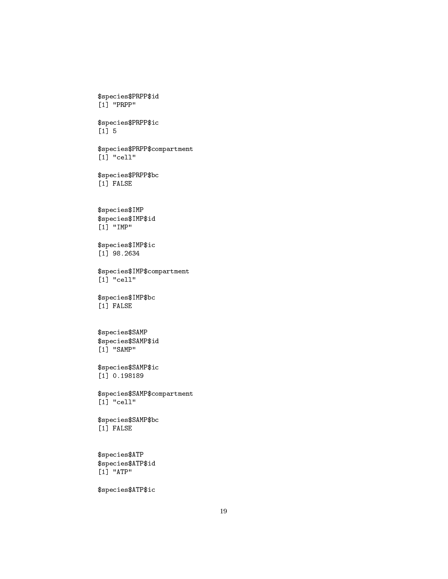```
[1] "PRPP"
$species$PRPP$ic
[1] 5
$species$PRPP$compartment
[1] "cell"
$species$PRPP$bc
[1] FALSE
$species$IMP
$species$IMP$id
[1] "IMP"
$species$IMP$ic
[1] 98.2634
$species$IMP$compartment
[1] "cell"
$species$IMP$bc
[1] FALSE
$species$SAMP
$species$SAMP$id
[1] "SAMP"
$species$SAMP$ic
[1] 0.198189
$species$SAMP$compartment
[1] "cell"
$species$SAMP$bc
[1] FALSE
$species$ATP
$species$ATP$id
[1] "ATP"
```
\$species\$PRPP\$id

\$species\$ATP\$ic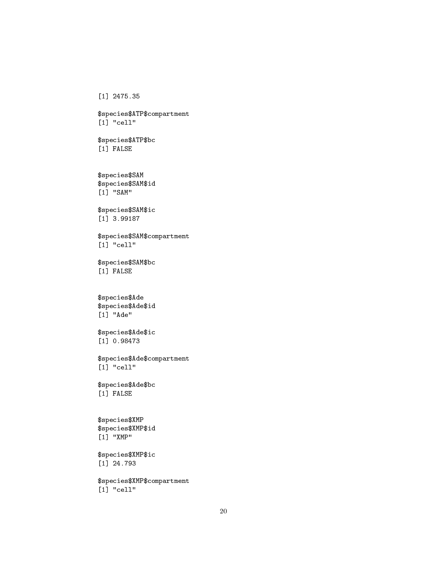[1] 2475.35

\$species\$ATP\$compartment [1] "cell"

\$species\$ATP\$bc [1] FALSE

\$species\$SAM \$species\$SAM\$id [1] "SAM"

\$species\$SAM\$ic [1] 3.99187

\$species\$SAM\$compartment [1] "cell"

\$species\$SAM\$bc [1] FALSE

\$species\$Ade \$species\$Ade\$id  $[1]$  "Ade"

\$species\$Ade\$ic [1] 0.98473

\$species\$Ade\$compartment [1] "cell"

\$species\$Ade\$bc [1] FALSE

\$species\$XMP \$species\$XMP\$id [1] "XMP"

\$species\$XMP\$ic [1] 24.793

\$species\$XMP\$compartment [1] "cell"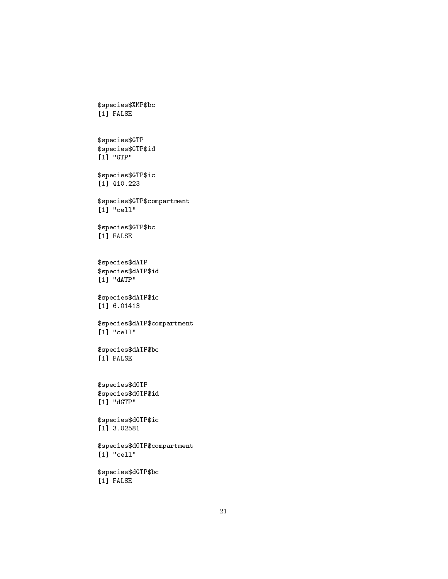\$species\$XMP\$bc [1] FALSE

\$species\$GTP \$species\$GTP\$id [1] "GTP"

\$species\$GTP\$ic [1] 410.223

\$species\$GTP\$compartment  $[1]$  "cell"

\$species\$GTP\$bc [1] FALSE

\$species\$dATP \$species\$dATP\$id [1] "dATP"

\$species\$dATP\$ic [1] 6.01413

\$species\$dATP\$compartment [1] "cell"

\$species\$dATP\$bc [1] FALSE

\$species\$dGTP \$species\$dGTP\$id [1] "dGTP"

\$species\$dGTP\$ic [1] 3.02581

\$species\$dGTP\$compartment [1] "cell"

\$species\$dGTP\$bc [1] FALSE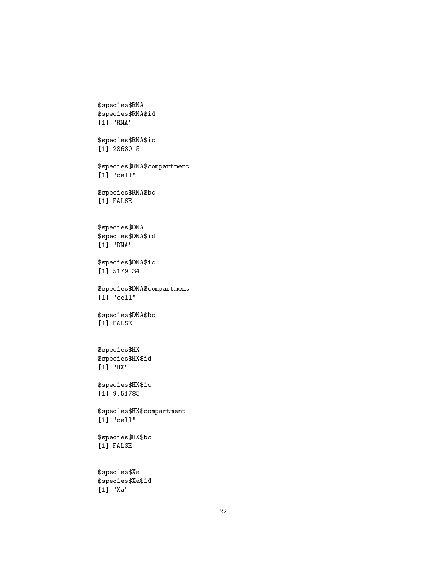\$species\$RNA\$id [1] "RNA" \$species\$RNA\$ic [1] 28680.5 \$species\$RNA\$compartment [1] "cell" \$species\$RNA\$bc [1] FALSE \$species\$DNA \$species\$DNA\$id [1] "DNA" \$species\$DNA\$ic [1] 5179.34 \$species\$DNA\$compartment [1] "cell" \$species\$DNA\$bc [1] FALSE \$species\$HX \$species\$HX\$id [1] "HX" \$species\$HX\$ic [1] 9.51785 \$species\$HX\$compartment [1] "cell" \$species\$HX\$bc [1] FALSE \$species\$Xa \$species\$Xa\$id [1] "Xa"

\$species\$RNA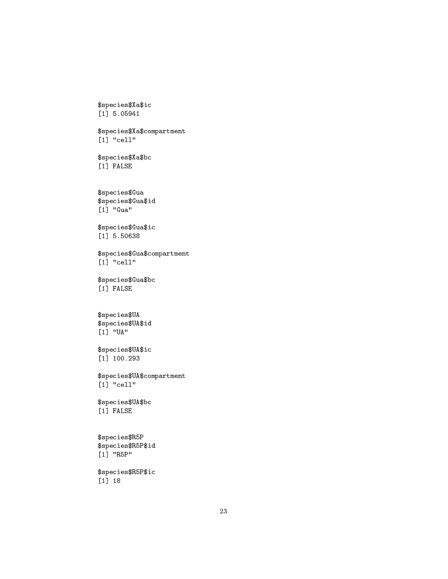```
$species$Xa$ic
[1] 5.05941
```
\$species\$Xa\$compartment [1] "cell"

\$species\$Xa\$bc [1] FALSE

\$species\$Gua \$species\$Gua\$id  $[1]$  "Gua"

\$species\$Gua\$ic [1] 5.50638

\$species\$Gua\$compartment [1] "cell"

\$species\$Gua\$bc [1] FALSE

```
$species$UA
$species$UA$id
[1] "UA"
```
\$species\$UA\$ic [1] 100.293

\$species\$UA\$compartment [1] "cell"

\$species\$UA\$bc [1] FALSE

\$species\$R5P \$species\$R5P\$id [1] "R5P"

\$species\$R5P\$ic [1] 18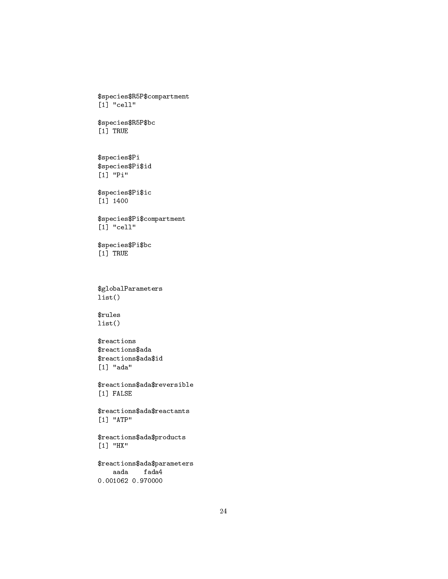```
$species$R5P$compartment
[1] "cell"
$species$R5P$bc
[1] TRUE
$species$Pi
$species$Pi$id
[1] "Pi"
$species$Pi$ic
[1] 1400
$species$Pi$compartment
[1] "cell"
$species$Pi$bc
[1] TRUE
$globalParameters
list()
$rules
list()
$reactions
$reactions$ada
$reactions$ada$id
[1] "ada"
$reactions$ada$reversible
[1] FALSE
$reactions$ada$reactants
[1] "ATP"
$reactions$ada$products
[1] "HX"
$reactions$ada$parameters
   aada fada4
0.001062 0.970000
```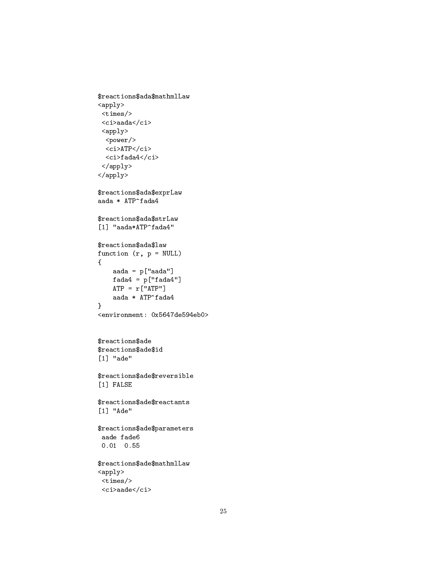```
$reactions$ada$mathmlLaw
\langle \text{apply} \rangle\timestimes/>
 \langleci>aada\langle/ci>
 \langle apply\rangle<power/>
  <ci>ATP</ci>
  \langle ci \ranglefada4 \langle/ci \rangle\langle \text{apply} \rangle\langle/apply>
$reactions$ada$exprLaw
aada * ATP^fada4
$reactions$ada$strLaw
[1] "aada*ATP^fada4"
$reactions$ada$law
function (r, p = NULL)\mathcal{L}aada = p['aada']fada4 = p['fada4"]ATP = r['ATP"]aada * ATP^fada4
\mathbf{R}<environment: 0x5647de594eb0>
$reactions$ade
$reactions$ade$id
[1] "ade"
$reactions$ade$reversible
[1] FALSE
$reactions$ade$reactants
[1] "Ade"
$reactions$ade$parameters
 aade fade6
 0.01 0.55
$reactions$ade$mathmlLaw
<apply>
 \timestimes/>
```

```
\langle ci \rangleaade\langle/ci \rangle
```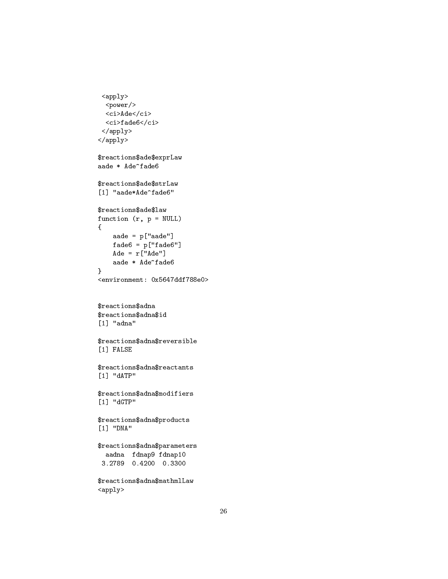```
\langle apply\rangle<power/>
  <ci>Ade</ci>
  \mbox{\tt <ci\texttt >fade6}\mbox{\tt <c\texttt i\texttt >}\langle/apply>
\langle /apply>
$reactions$ade$exprLaw
aade * Ade^fade6
$reactions$ade$strLaw
[1] "aade*Ade^fade6"
$reactions$ade$law
function (r, p = NULL)\mathcal{L}aade = p['aade"]fade6 = p['fade6"]\text{A}de = r["\text{A}de"]aade * Ade^fade6
\mathcal{F}<environment: 0x5647ddf788e0>
$reactions$adna
$reactions$adna$id
[1] "adna"
$reactions$adna$reversible
[1] FALSE
$reactions$adna$reactants
[1] "dATP"
$reactions$adna$modifiers
[1] "dGTP"
$reactions$adna$products
[1] "DNA"
\verb|fracions§ adna\$ parametersaadna fdnap9 fdnap10
 3.2789 0.4200 0.3300
$reactions$adna$mathmlLaw
```
 $\langle apply \rangle$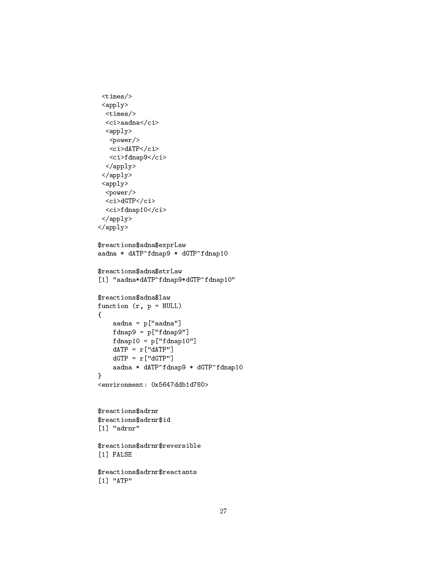```
<times/>
 <apply>
  <times/>
  \langleci>aadna\langle/ci>
  \langle apply \rangle<power/>
   <ci>dATP</ci>
   <ci>fdnap9</ci>
  </apply>
 </apply>
 <apply>
  <power/>
  <ci>dGTP</ci>
  <ci>fdnap10</ci>
 </apply>
</apply>
$reactions$adna$exprLaw
aadna * dATP^fdnap9 * dGTP^fdnap10
$reactions$adna$strLaw
[1] "aadna*dATP^fdnap9*dGTP^fdnap10"
$reactions$adna$law
function (r, p = NULL){
    aadna = p["aadna"]
    fdnap9 = p["fdnap9"]
    fdnap10 = p['fdnap10"]dATP = r['dATP"]dGTP = r['dGTP"]aadna * dATP^fdnap9 * dGTP^fdnap10
}
<environment: 0x5647ddb1d780>
$reactions$adrnr
$reactions$adrnr$id
[1] "adrnr"
$reactions$adrnr$reversible
[1] FALSE
$reactions$adrnr$reactants
[1] "ATP"
```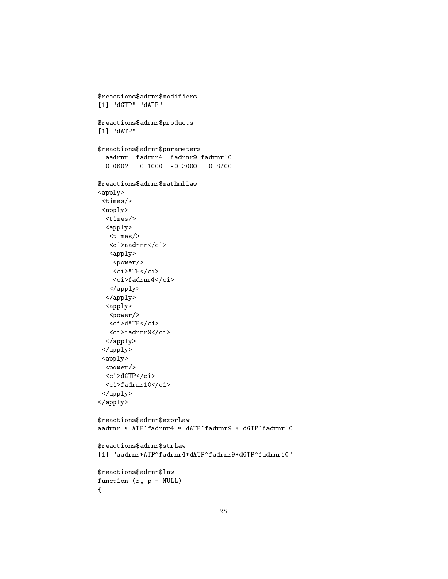```
$reactions$adrnr$modifiers
[1] "dGTP" "dATP"
$reactions$adrnr$products
[1] "dATP"
$reactions$adrnr$parameters
  aadrnr fadrnr4 fadrnr9 fadrnr10
  0.0602 0.1000 -0.3000 0.8700$reactions$adrnr$mathmlLaw
<apply>
 \timestimes/>
 \langle \text{apply} \rangle\timestimes/>
  <apply>
   \timestimes/>
   <ci>aadrnr</ci>
   <apply>
    <power/>
    <ci>ATP</ci>
    <ci>fadrnr4</ci>
   \langle /apply>
  \langle/apply>
  \langle apply \rangle<power/>
   <ci>dATP</ci>
   <ci>fadrnr9</ci>
  \langle /apply>
 \langle/apply>
 <apply>
  <power/>
  <ci>dGTP</ci>
  <ci>fadrnr10</ci>
 \langle /apply>
\langle /apply>
$reactions$adrnr$exprLaw
aadrnr * ATP^fadrnr4 * dATP^fadrnr9 * dGTP^fadrnr10
$reactions$adrnr$strLaw
[1] "aadrnr*ATP^fadrnr4*dATP^fadrnr9*dGTP^fadrnr10"
$reactions$adrnr$law
function (r, p = NULL)\{
```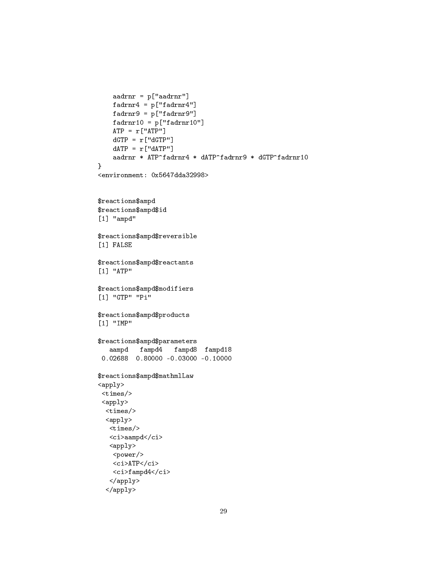```
aadrnr = p["aadrnr"]
   fadrnr4 = p['fadrnr4"]fadrnr9 = p["fadrnr9"]
   fadrnrl0 = p['fadrnrl0"]ATP = r['ATP"]dGTP = r['dGTP"]dATP = r['dATP"]aadrnr * ATP^fadrnr4 * dATP^fadrnr9 * dGTP^fadrnr10
}
<environment: 0x5647dda32998>
$reactions$ampd
$reactions$ampd$id
[1] "ampd"
$reactions$ampd$reversible
[1] FALSE
$reactions$ampd$reactants
[1] "ATP"
$reactions$ampd$modifiers
[1] "GTP" "Pi"
$reactions$ampd$products
[1] "IMP"
$reactions$ampd$parameters
   aampd fampd4 fampd8 fampd18
 0.02688 0.80000 -0.03000 -0.10000
$reactions$ampd$mathmlLaw
<apply>
 <times/>
 <apply>
 <times/>
 <apply>
   <times/>
  <ci>aampd</ci>
   <apply>
   <power/>
   <ci>ATP</ci>
   <ci>fampd4</ci>
   </apply>
```

```
</apply>
```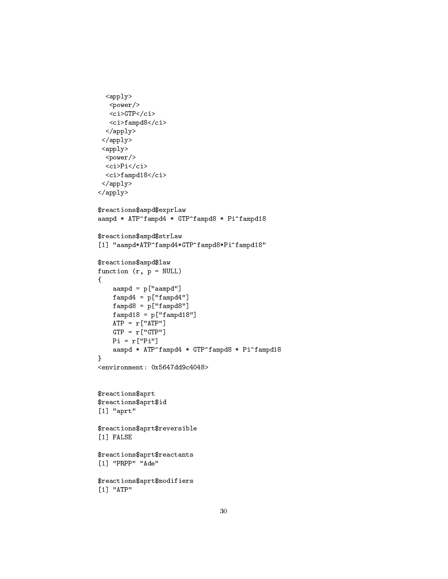```
<apply>
   <power/>
   <ci>GTP</ci>
   <ci>fampd8</ci>
  </apply>
 </apply>
 <apply>
  <power/>
  <ci>Pi</ci>
  <ci>fampd18</ci>
 </apply>
</apply>
$reactions$ampd$exprLaw
aampd * ATP^fampd4 * GTP^fampd8 * Pi^fampd18
$reactions$ampd$strLaw
[1] "aampd*ATP^fampd4*GTP^fampd8*Pi^fampd18"
$reactions$ampd$law
function (r, p = NULL){
    aampd = p["aampd"]
   fampd4 = p['fampd4"]fampd8 = p['fampd8"]fampd18 = p['fampd18"]ATP = r['ATP"]GTP = r['GTP"]Pi = r["Pi"]
    aampd * ATP^fampd4 * GTP^fampd8 * Pi^fampd18
}
<environment: 0x5647dd9c4048>
$reactions$aprt
$reactions$aprt$id
[1] "aprt"
$reactions$aprt$reversible
[1] FALSE
$reactions$aprt$reactants
[1] "PRPP" "Ade"
$reactions$aprt$modifiers
[1] "ATP"
```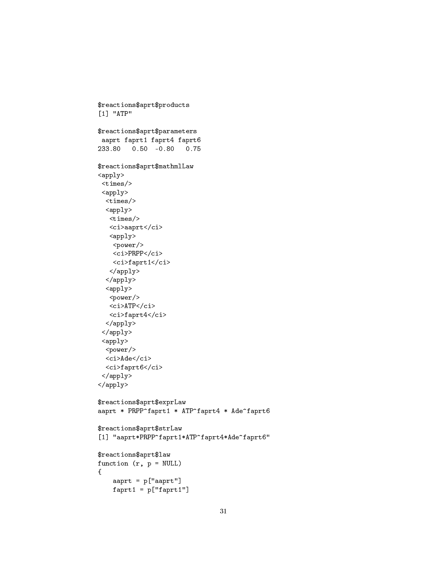```
$reactions$aprt$products
[1] "ATP"
$reactions$aprt$parameters
 aaprt faprt1 faprt4 faprt6
233.80  0.50  -0.80  0.75
$reactions$aprt$mathmlLaw
<apply>
 \timestimes/>
 <apply>
  \timestimes/>
  \langle apply \rangle\timestimes/>
    <ci>aaprt</ci>
    <apply>
    <power/>
    \langle ci\ranglePRPP\langle ci\rangle<ci>faprt1</ci>
    \langle /apply>
  \langle/apply>
  \langle apply \rangle<power/>
    <ci>ATP</ci>
   \langle ci\ranglefaprt4\langle ci\rangle\langle /apply>
 \langle /apply>
 \langle apply\rangle<power/>
  <ci>Ade</ci>
  <ci>faprt6</ci>
 \langle /apply>
\langle \text{apply} \rangle$reactions$aprt$exprLaw
aaprt * PRPP^faprt1 * ATP^faprt4 * Ade^faprt6
$reactions$aprt$strLaw
[1] "aaprt*PRPP^faprt1*ATP^faprt4*Ade^faprt6"
$reactions$aprt$law
function (r, p = NULL)\mathcal{L}aaprt = p["aaprt"]
     faprt1 = p['faprt1"]
```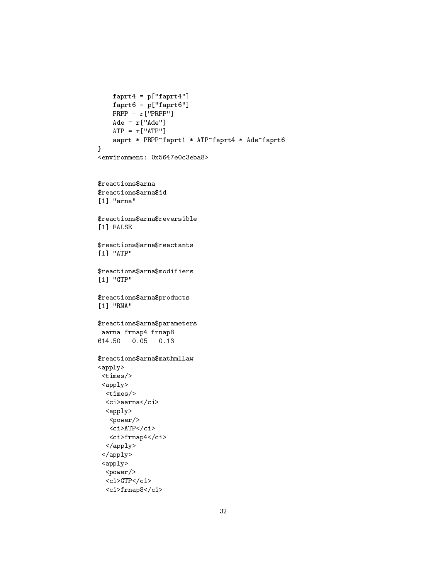```
faprt4 = p['faprt4"]faprt6 = p["faprt6"]
   PRPP = r["PRPP"]
   \text{A}de = r['Ade'']ATP = r['ATP"]aaprt * PRPP^faprt1 * ATP^faprt4 * Ade^faprt6
}
<environment: 0x5647e0c3eba8>
$reactions$arna
$reactions$arna$id
[1] "arna"
$reactions$arna$reversible
[1] FALSE
$reactions$arna$reactants
[1] "ATP"
$reactions$arna$modifiers
[1] "GTP"
$reactions$arna$products
[1] "RNA"
$reactions$arna$parameters
aarna frnap4 frnap8
614.50 0.05 0.13
$reactions$arna$mathmlLaw
<apply>
<times/>
 <apply>
 <times/>
 <ci>aarna</ci>
 \langle apply \rangle<power/>
   <ci>ATP</ci>
  <ci>frnap4</ci>
 </apply>
 </apply>
 <apply>
  <power/>
 <ci>GTP</ci>
  <ci>frnap8</ci>
```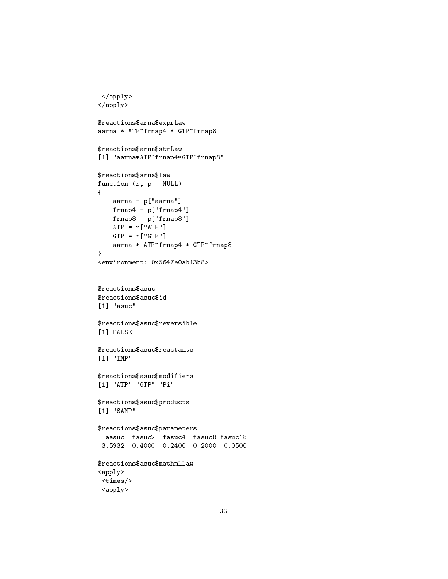```
</apply>
\langle /apply>
$reactions$arna$exprLaw
aarna * ATP^frnap4 * GTP^frnap8
$reactions$arna$strLaw
[1] "aarna*ATP^frnap4*GTP^frnap8"
$reactions$arna$law
function (r, p = NULL){
    aarna = p["aarna"]
    frnap4 = p['frnap4"]frnap8 = p["frnap8"]
   ATP = r['ATP"]GTP = r['GTP"]aarna * ATP^frnap4 * GTP^frnap8
}
<environment: 0x5647e0ab13b8>
$reactions$asuc
$reactions$asuc$id
[1] "asuc"
$reactions$asuc$reversible
[1] FALSE
$reactions$asuc$reactants
[1] "IMP"
$reactions$asuc$modifiers
[1] "ATP" "GTP" "Pi"
$reactions$asuc$products
[1] "SAMP"
$reactions$asuc$parameters
  aasuc fasuc2 fasuc4 fasuc8 fasuc18
 3.5932 0.4000 -0.2400 0.2000 -0.0500
$reactions$asuc$mathmlLaw
\langle \texttt{apply} \rangle<times/>
 <apply>
```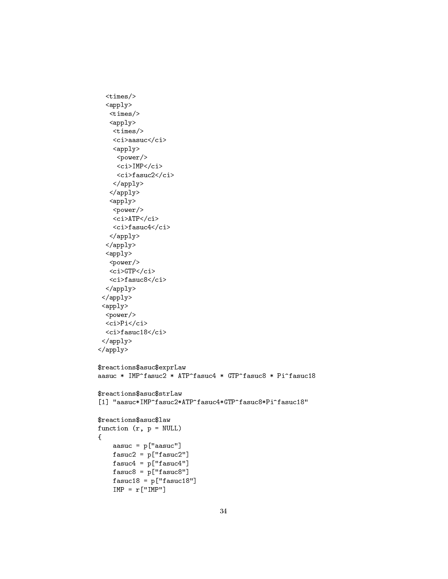```
<times/>
  <apply>
   <times/>
   \langle \texttt{apply} \rangle<times/>
    <ci>aasuc</ci>
    \langle apply \rangle<power/>
     <ci>IMP</ci>
     <ci>fasuc2</ci>
    </apply>
   </apply>
   <apply>
    <power/>
    <ci>ATP</ci>
    <ci>fasuc4</ci>
   </apply>
  </apply>
  <apply>
   <power/>
   <ci>GTP</ci>
   <ci>fasuc8</ci>
  </apply>
 </apply>
 \langle apply\rangle<power/>
  <ci>Pi</ci>
  <ci>fasuc18</ci>
 </apply>
</apply>
$reactions$asuc$exprLaw
aasuc * IMP^fasuc2 * ATP^fasuc4 * GTP^fasuc8 * Pi^fasuc18
$reactions$asuc$strLaw
[1] "aasuc*IMP^fasuc2*ATP^fasuc4*GTP^fasuc8*Pi^fasuc18"
$reactions$asuc$law
function (r, p = NULL){
    aasuc = p["aasuc"]
    fasuc2 = p["fasuc2"]
    fasuc4 = p['fasuc4"]
    fasuc8 = p["fasuc8"]
    fasuc18 = p["fasuc18"]
    IMP = r['IMP"]
```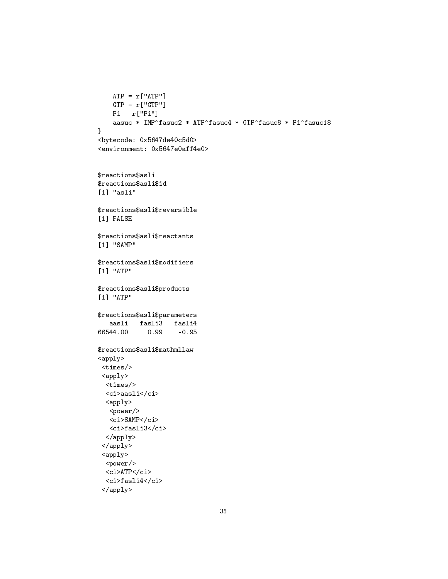```
ATP = r['ATP"]GTP = r['GTP"]Pi = r['Pi"]aasuc * IMP^fasuc2 * ATP^fasuc4 * GTP^fasuc8 * Pi^fasuc18
}
<bytecode: 0x5647de40c5d0>
<environment: 0x5647e0aff4e0>
$reactions$asli
$reactions$asli$id
[1] "asli"
$reactions$asli$reversible
[1] FALSE
$reactions$asli$reactants
[1] "SAMP"
$reactions$asli$modifiers
[1] "ATP"
$reactions$asli$products
[1] "ATP"
$reactions$asli$parameters
   aasli fasli3 fasli4
66544.00 0.99 -0.95
$reactions$asli$mathmlLaw
<apply>
<times/>
<apply>
 <times/>
 <ci>aasli</ci>
 <apply>
   <power/>
   <ci>SAMP</ci>
  <ci>fasli3</ci>
 </apply>
 </apply>
 <apply>
 <power/>
 <ci>ATPci>
 <ci>fasli4</ci>
 </apply>
```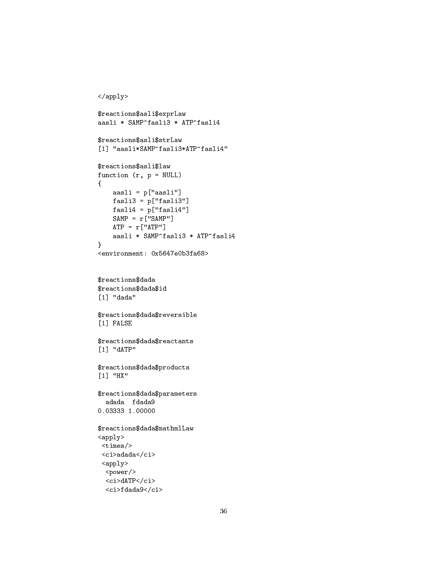```
</apply>
$reactions$asli$exprLaw
aasli * SAMP^fasli3 * ATP^fasli4
$reactions$asli$strLaw
[1] "aasli*SAMP^fasli3*ATP^fasli4"
$reactions$asli$law
function (r, p = NULL){
    aasli = p["aasli"]
   fasli3 = p["fasli3"]
   fasli4 = p['fasli4"]SAMP = r['SAMP"]ATP = r['ATP"]aasli * SAMP^fasli3 * ATP^fasli4
}
<environment: 0x5647e0b3fa68>
$reactions$dada
$reactions$dada$id
[1] "dada"
$reactions$dada$reversible
[1] FALSE
$reactions$dada$reactants
[1] "dATP"
$reactions$dada$products
[1] "HX"
$reactions$dada$parameters
  adada fdada9
0.03333 1.00000
$reactions$dada$mathmlLaw
<apply>
 <times/>
 <ci>adada</ci>
 <apply>
  <power/>
  <ci>dATP</ci>
  <ci>fdada9</ci>
```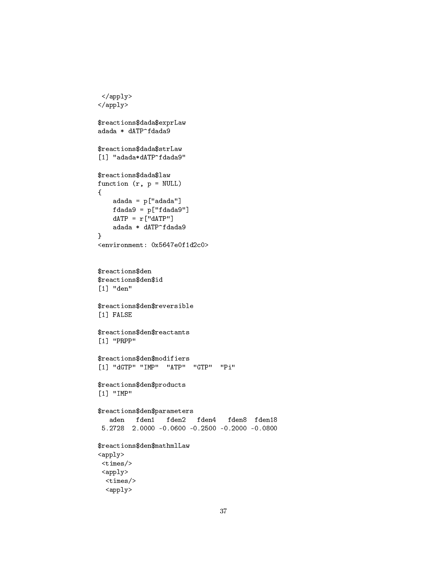```
</apply>
\langle /apply>
$reactions$dada$exprLaw
adada * dATP^fdada9
$reactions$dada$strLaw
[1] "adada*dATP^fdada9"
$reactions$dada$law
function (r, p = NULL){
    adada = p["adada"]
   fdada9 = p['fdada9']dATP = r['dATP"]adada * dATP^fdada9
}
<environment: 0x5647e0f1d2c0>
$reactions$den
$reactions$den$id
[1] "den"
$reactions$den$reversible
[1] FALSE
$reactions$den$reactants
[1] "PRPP"
$reactions$den$modifiers
[1] "dGTP" "IMP" "ATP" "GTP" "Pi"
$reactions$den$products
[1] "IMP"
$reactions$den$parameters
   aden fden1 fden2 fden4 fden8 fden18
 5.2728 2.0000 -0.0600 -0.2500 -0.2000 -0.0800
$reactions$den$mathmlLaw
<apply>
 <times/>
 <apply>
  <times/>
  <apply>
```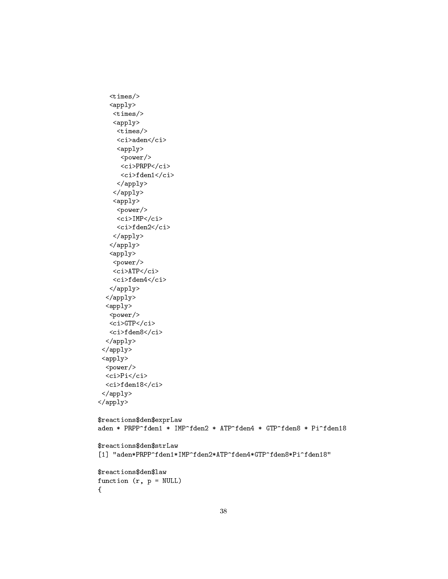```
<times/>
   <apply>
    <times/>
    \langle apply \rangle<times/>
     <ci>aden</ci>
     <apply>
      <power/>
      <ci>PRPP</ci>
      <ci>fden1</ci>
     </apply>
    </apply>
    <apply>
     <power/>
     <ci>IMP</ci>
     <ci>fden2</ci>
    </apply>
   </apply>
   <apply>
    <power/>
    <ci>ATP</ci>
    <ci>fden4</ci>
   </apply>
  \langle /apply>
  \langle apply\rangle<power/>
   <ci>GTP</ci>
   <ci>fden8</ci>
  </apply>
 </apply>
 <apply>
  <power/>
  <ci>Pi</ci>
  <ci>fden18</ci>
 </apply>
</apply>
$reactions$den$exprLaw
aden * PRPP^fden1 * IMP^fden2 * ATP^fden4 * GTP^fden8 * Pi^fden18
$reactions$den$strLaw
[1] "aden*PRPP^fden1*IMP^fden2*ATP^fden4*GTP^fden8*Pi^fden18"
$reactions$den$law
function (r, p = NULL){
```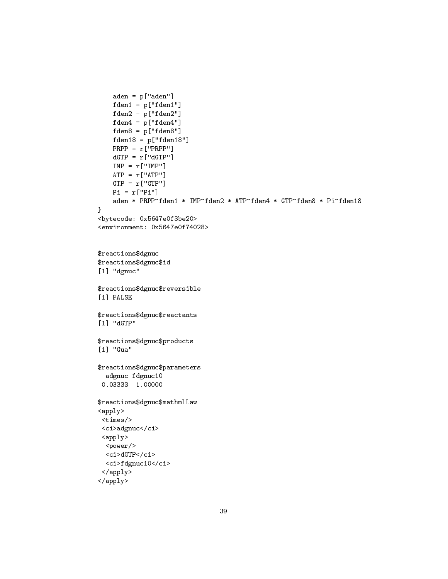```
aden = p["aden"]
   fden1 = p['fden1"]fden2 = p['fden2"]fden4 = p['fden4"]fden8 = p["fden8"]
   fden18 = p['fden18"]
   PRPP = r["PRPP"]
   dGTP = r['dGTP"]IMP = r['IMP"]ATP = r['ATP"]GTP = r['GTP"]Pi = r['Pi"]aden * PRPP^fden1 * IMP^fden2 * ATP^fden4 * GTP^fden8 * Pi^fden18
}
<bytecode: 0x5647e0f3be20>
<environment: 0x5647e0f74028>
$reactions$dgnuc
$reactions$dgnuc$id
[1] "dgnuc"
$reactions$dgnuc$reversible
[1] FALSE
$reactions$dgnuc$reactants
[1] "dGTP"
$reactions$dgnuc$products
[1] "Gua"
$reactions$dgnuc$parameters
  adgnuc fdgnuc10
 0.03333 1.00000
$reactions$dgnuc$mathmlLaw
<apply>
 <times/>
 <ci>adgnuc</ci>
 <apply>
  <power/>
  <ci>dGTP</ci>
  <ci>fdgnuc10</ci>
 </apply>
```

```
</apply>
```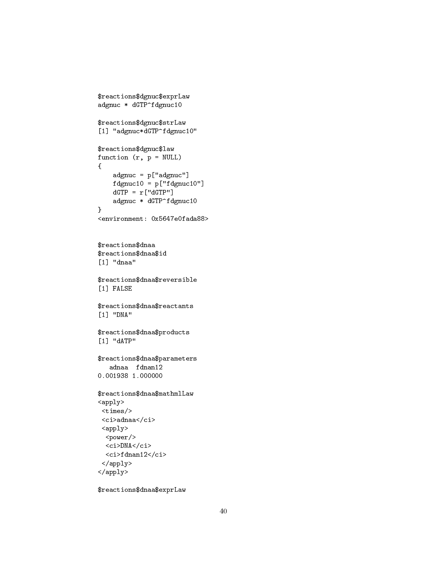```
$reactions$dgnuc$exprLaw
adgnuc * dGTP^fdgnuc10
$reactions$dgnuc$strLaw
[1] "adgnuc*dGTP^fdgnuc10"
$reactions$dgnuc$law
function (r, p = NULL){
    adgnuc = p['adgnuc']fdgnuc10 = p['fdgnuc10"]dGTP = r['dGTP"]adgnuc * dGTP^fdgnuc10
}
<environment: 0x5647e0fada88>
$reactions$dnaa
$reactions$dnaa$id
[1] "dnaa"
$reactions$dnaa$reversible
[1] FALSE
$reactions$dnaa$reactants
[1] "DNA"
$reactions$dnaa$products
[1] "dATP"
$reactions$dnaa$parameters
   adnaa fdnan12
0.001938 1.000000
$reactions$dnaa$mathmlLaw
<apply>
 <times/>
 <ci>adnaa</ci>
 <apply>
  <power/>
  <ci>DNA</ci>
  <ci>fdnan12</ci>
 </apply>
</apply>
```
\$reactions\$dnaa\$exprLaw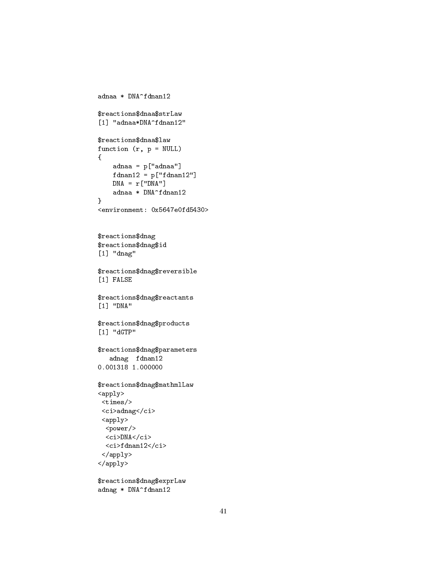```
adnaa * DNA^fdnan12
$reactions$dnaa$strLaw
[1] "adnaa*DNA^fdnan12"
$reactions$dnaa$law
function (r, p = NULL){
    adnaa = p["adnaa"]
   fdnan12 = p["fdnan12"]
   DNA = r['DNA"]adnaa * DNA^fdnan12
}
<environment: 0x5647e0fd5430>
$reactions$dnag
$reactions$dnag$id
[1] "dnag"
$reactions$dnag$reversible
[1] FALSE
$reactions$dnag$reactants
[1] "DNA"
$reactions$dnag$products
[1] "dGTP"
$reactions$dnag$parameters
   adnag fdnan12
0.001318 1.000000
$reactions$dnag$mathmlLaw
<apply>
 <times/>
 <ci>adnag</ci>
 <apply>
  <power/>
  <ci>DNA</ci>
  <ci>fdnan12</ci>
 </apply>
</apply>
```
\$reactions\$dnag\$exprLaw adnag \* DNA^fdnan12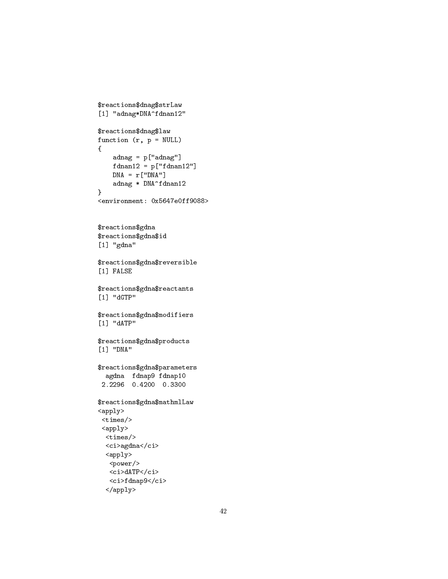```
$reactions$dnag$strLaw
[1] "adnag*DNA^fdnan12"
$reactions$dnag$law
function (r, p = NULL){
    adnag = p['adnag']fdnan12 = p["fdnan12"]
    DNA = r['DNA"]adnag * DNA^fdnan12
}
<environment: 0x5647e0ff9088>
$reactions$gdna
$reactions$gdna$id
[1] "gdna"
$reactions$gdna$reversible
[1] FALSE
$reactions$gdna$reactants
[1] "dGTP"
$reactions$gdna$modifiers
[1] "dATP"
$reactions$gdna$products
[1] "DNA"
$reactions$gdna$parameters
  agdna fdnap9 fdnap10
 2.2296 0.4200 0.3300
$reactions$gdna$mathmlLaw
<apply>
 <times/>
 <apply>
  <times/>
  <ci>agdna</ci>
  \langle apply \rangle<power/>
   <ci>dATP</ci>
   <ci>fdnap9</ci>
```

```
</apply>
```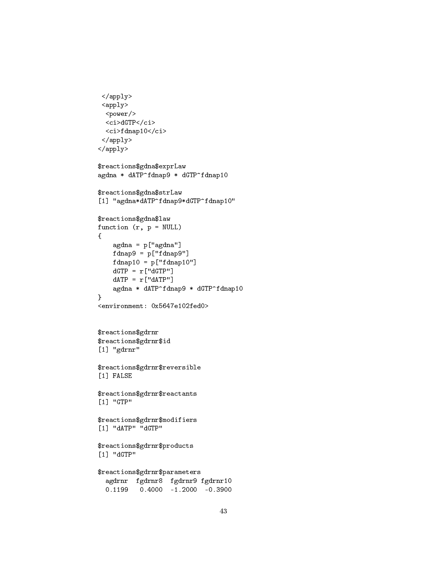```
\langle /apply>
 <apply>
  <power/>
  <ci>dGTP</ci>
  <ci>fdnap10</ci>
 </apply>
</apply>
$reactions$gdna$exprLaw
agdna * dATP^fdnap9 * dGTP^fdnap10
$reactions$gdna$strLaw
[1] "agdna*dATP^fdnap9*dGTP^fdnap10"
$reactions$gdna$law
function (r, p = NULL){
    agdna = p["agdna"]
   fdnap9 = p["fdnap9"]
   fdnap10 = p["fdnap10"]
   dGTP = r['dGTP"]dATP = r['dATP'']agdna * dATP^fdnap9 * dGTP^fdnap10
}
<environment: 0x5647e102fed0>
$reactions$gdrnr
$reactions$gdrnr$id
[1] "gdrnr"
$reactions$gdrnr$reversible
[1] FALSE
$reactions$gdrnr$reactants
[1] "GTP"
$reactions$gdrnr$modifiers
[1] "dATP" "dGTP"
$reactions$gdrnr$products
[1] "dGTP"
$reactions$gdrnr$parameters
  agdrnr fgdrnr8 fgdrnr9 fgdrnr10
  0.1199 0.4000 -1.2000 -0.3900
```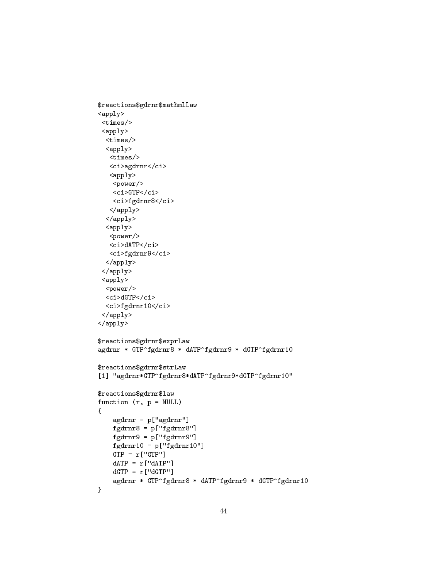```
$reactions$gdrnr$mathmlLaw
\langle \text{apply} \rangle<times/>
 \langle apply\rangle<times/>
  <apply>
   <times/>
   <ci>agdrnr</ci>
   <apply>
    <power/>
    \langleci>GTP</ci>
    <ci>fgdrnr8</ci>
   </apply>
  </apply>
  <apply>
   <power/>
   <ci>dATP</ci>
   <ci>fgdrnr9</ci>
  </apply>
 </apply>
 \langle apply1<power/>
  <ci>dGTP</ci>
  <ci>fgdrnr10</ci>
 </apply>
</apply>
$reactions$gdrnr$exprLaw
agdrnr * GTP^fgdrnr8 * dATP^fgdrnr9 * dGTP^fgdrnr10
$reactions$gdrnr$strLaw
[1] "agdrnr*GTP^fgdrnr8*dATP^fgdrnr9*dGTP^fgdrnr10"
$reactions$gdrnr$law
function (r, p = NULL){
    agdrnr = p["agdrnr"]
    fgdrnr8 = p["fgdrnr8"]
    fgdrnr9 = p["fgdrnr9"]
    fgdrnr10 = p['fgdrnr10"]GTP = r['GTP"]dATP = r['dATP"]dGTP = r['dGTP"]agdrnr * GTP^fgdrnr8 * dATP^fgdrnr9 * dGTP^fgdrnr10
}
```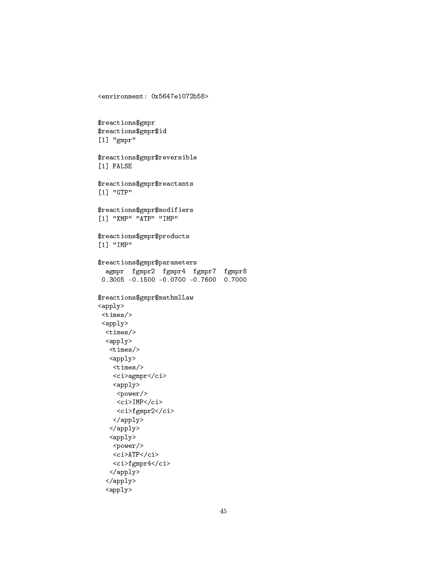```
$reactions$gmpr
$reactions$gmpr$id
[1] "gmpr"
$reactions$gmpr$reversible
[1] FALSE
$reactions$gmpr$reactants
[1] "GTP"
$reactions$gmpr$modifiers
[1] "XMP" "ATP" "IMP"
$reactions$gmpr$products
[1] "IMP"
$reactions$gmpr$parameters
  agmpr fgmpr2 fgmpr4 fgmpr7 fgmpr8
 0.3005 -0.1500 -0.0700 -0.7600 0.7000
$reactions$gmpr$mathmlLaw
<apply>
 <times/>
 <apply>
  <times/>
  <apply>
   <times/>
   <apply>
   <times/>
    <ci>agmpr</ci>
    <apply>
     <power/>
     \langleci>IMP\langleci>
     <ci>fgmpr2</ci>
   </apply>
   </apply>
   <apply>
    <power/>
    \langleci>ATP\langle/ci>
   <ci>fgmpr4</ci>
   </apply>
  </apply>
```
<environment: 0x5647e1072b58>

```
<apply>
```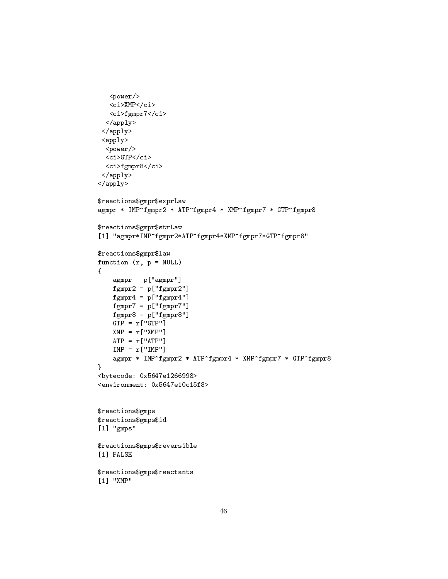```
<power/>
   <ci>XMP</ci>
   <ci>fgmpr7</ci>
  </apply>
 </apply>
 <apply>
  <power/>
  <ci>GTP</ci>
  <ci>fgmpr8</ci>
 </apply>
</apply>
$reactions$gmpr$exprLaw
agmpr * IMP^fgmpr2 * ATP^fgmpr4 * XMP^fgmpr7 * GTP^fgmpr8
$reactions$gmpr$strLaw
[1] "agmpr*IMP^fgmpr2*ATP^fgmpr4*XMP^fgmpr7*GTP^fgmpr8"
$reactions$gmpr$law
function (r, p = NULL){
    agmpr = p['agmpr"]fgmpr2 = p['fgmpr2"]fgmpr4 = p['fgmpr4"]fgmpr7 = p['fgmpr7"]fgmpr8 = p['fgmpr8"]GTP = r['GTP"]XMP = r['XMP"]ATP = r['ATP"]IMP = r['IMP"]agmpr * IMP^fgmpr2 * ATP^fgmpr4 * XMP^fgmpr7 * GTP^fgmpr8
}
<bytecode: 0x5647e1266998>
<environment: 0x5647e10c15f8>
$reactions$gmps
$reactions$gmps$id
[1] "gmps"
$reactions$gmps$reversible
[1] FALSE
$reactions$gmps$reactants
[1] "XMP"
```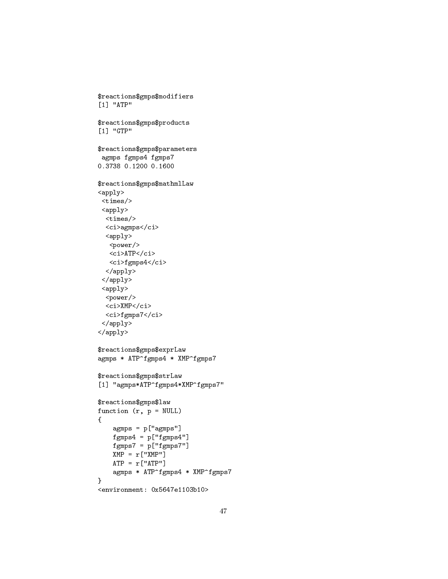```
$reactions$gmps$modifiers
[1] "ATP"
$reactions$gmps$products
[1] "GTP"
$reactions$gmps$parameters
 agmps fgmps4 fgmps7
0.3738 0.1200 0.1600
$reactions$gmps$mathmlLaw
\langle \texttt{apply} \rangle<times/>
 <apply>
  <times/>
  <ci>agmps</ci>
  <apply>
   <power/>
   \langleci>ATP\langleci>
   <ci>fgmps4</ci>
  </apply>
 </apply>
 <apply>
  <power/>
  <ci>XMP</ci>
  <ci>fgmps7</ci>
 </apply>
</apply>
$reactions$gmps$exprLaw
agmps * ATP^fgmps4 * XMP^fgmps7
$reactions$gmps$strLaw
[1] "agmps*ATP^fgmps4*XMP^fgmps7"
$reactions$gmps$law
function (r, p = NULL){
    agmps = p["agmps"]
    fgmps4 = p['fgmps4"]fgmps7 = p['fgmps7"]XMP = r["XMP"]
    ATP = r['ATP"]agmps * ATP^fgmps4 * XMP^fgmps7
}
<environment: 0x5647e1103b10>
```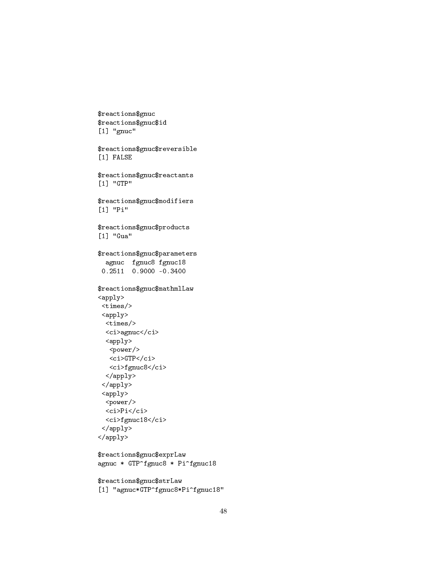```
$reactions$gnuc
$reactions$gnuc$id
[1] "gnuc"
$reactions$gnuc$reversible
[1] FALSE
$reactions$gnuc$reactants
[1] "GTP"
$reactions$gnuc$modifiers
[1] "Pi"
$reactions$gnuc$products
[1] "Gua"
$reactions$gnuc$parameters
 agnuc fgnuc8 fgnuc18<br>0.2511 0.9000 -0.3400
$reactions$gnuc$mathmlLaw
\langle apply \rangle\timestimes/>
 \langle \texttt{apply} \rangle\timestimes/>
  \mbox{\tt <ci>} \mbox{\tt >agnuc} \mbox{\tt <} \mbox{\tt /ci>}<apply>
   <power/>
    \langleci>GTP</ci>
   <ci>fgnuc8</ci>
  \langle /apply>
 \langle \text{apply} \rangle\langle \text{apply} \rangle<power/>
  \langleci>Pi</ci>
  <ci>fgnuc18</ci>
 \langle /apply>
\langle/apply>
$reactions$gnuc$exprLaw
agnuc * GTP^fgnuc8 * Pi^fgnuc18
$reactions$gnuc$strLaw
```

```
[1] "agnuc*GTP^fgnuc8*Pi^fgnuc18"
```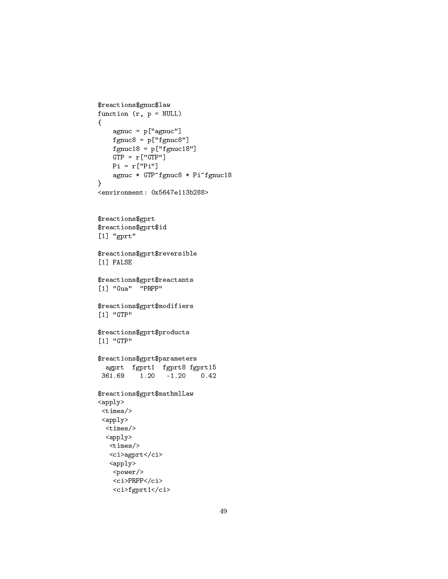```
$reactions$gnuc$law
function (r, p = NULL)\{agnuc = p['agnuc']fgnuc8 = p['fgnuc8"]fgnuc18 = p['fgnuc18"]GTP = r['GTP"]Pi = r['Pi"]agnuc * GTP^fgnuc8 * Pi^fgnuc18
\mathcal{F}<environment: 0x5647e113b288>
$reactions$gprt
\operatorname{\$reactions\$gprt\$id}[1] "gprt"
$reactions$gprt$reversible
[1] FALSE
$reactions$gprt$reactants
[1] "Gua" "PRPP"
$reactions$gprt$modifiers
[1] "GTP"
$reactions$gprt$products
[1] "GTP"
$reactions$gprt$parameters
  agprt fgprt1 fgprt8 fgprt15
 361.69  1.20  -1.20  0.42
$reactions$gprt$mathmlLaw
\langle \text{apply} \rangle\timestimes/>
 \langle \text{apply} \rangle\timestimes/>
  \langle apply \rangle\timestimes/>
   <ci>agprt</ci>
   \langle apply \rangle<power/>
    <ci>PRPP</ci>
```
<ci>fgprt1</ci>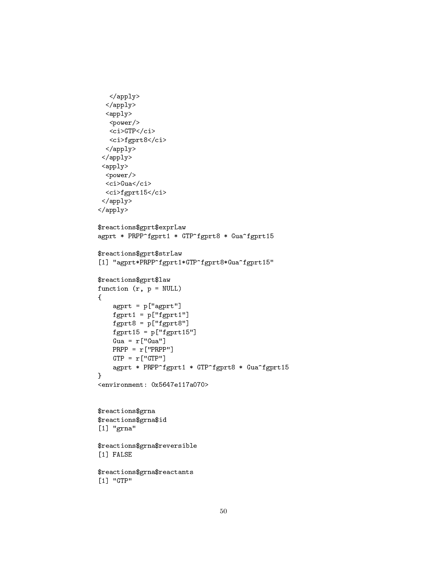```
</apply>
  </apply>
  \langle apply \rangle<power/>
   <ci>GTP</ci>
  <ci>fgprt8</ci>
  </apply>
 </apply>
 <apply>
  <power/>
  <ci>Gua</ci>
  <ci>fgprt15</ci>
 </apply>
</apply>
$reactions$gprt$exprLaw
agprt * PRPP^fgprt1 * GTP^fgprt8 * Gua^fgprt15
$reactions$gprt$strLaw
[1] "agprt*PRPP^fgprt1*GTP^fgprt8*Gua^fgprt15"
$reactions$gprt$law
function (r, p = NULL){
    agprt = p["agprt"]
    fgprt1 = p["fgprt1"]
    fgprt8 = p["fgprt8"]
    fgprt15 = p["fgprt15"]
    Gua = r["Gua"]
    PRPP = r["PRPP"]
   GTP = r['GTP"]agprt * PRPP^fgprt1 * GTP^fgprt8 * Gua^fgprt15
}
<environment: 0x5647e117a070>
$reactions$grna
$reactions$grna$id
[1] "grna"
$reactions$grna$reversible
[1] FALSE
$reactions$grna$reactants
[1] "GTP"
```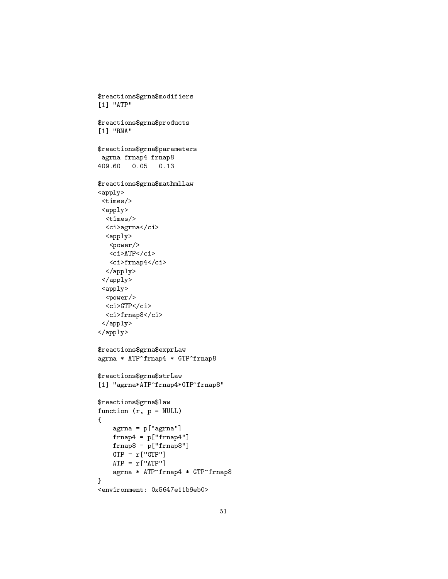```
$reactions$grna$modifiers
[1] "ATP"
$reactions$grna$products
[1] "RNA"
$reactions$grna$parameters
 agrna frnap4 frnap8
409.60 0.05 0.13
$reactions$grna$mathmlLaw
\langle \texttt{apply} \rangle<times/>
 <apply>
  <times/>
  <ci>agrna</ci>
  <apply>
   <power/>
   <ci>ATP</ci>
   <ci>frnap4</ci>
  </apply>
 </apply>
 <apply>
  <power/>
  <ci>GTP</ci>
  <ci>frnap8</ci>
 </apply>
</apply>
$reactions$grna$exprLaw
agrna * ATP^frnap4 * GTP^frnap8
$reactions$grna$strLaw
[1] "agrna*ATP^frnap4*GTP^frnap8"
$reactions$grna$law
function (r, p = NULL){
    agrna = p["agrna"]
    frnap4 = p['frnap4"]frnap8 = p["frnap8"]
    GTP = r['GTP"]ATP = r['ATP"]agrna * ATP^frnap4 * GTP^frnap8
}
```

```
<environment: 0x5647e11b9eb0>
```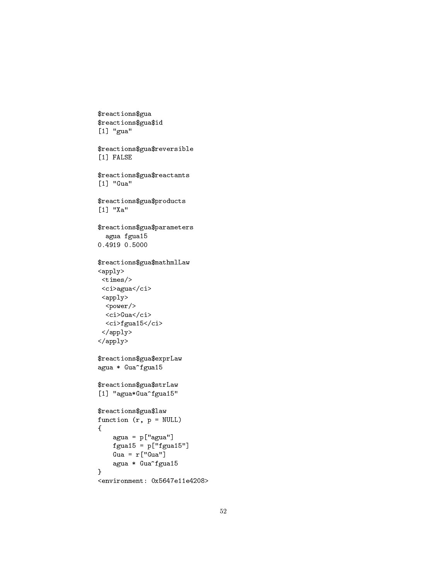```
$reactions$gua
$reactions$gua$id
[1] "gua"
$reactions$gua$reversible
[1] FALSE
$reactions$gua$reactants
[1] "Gua"
$reactions$gua$products
[1] "Xa"
$reactions$gua$parameters
  agua fgua15
0.4919 0.5000
$reactions$gua$mathmlLaw
<apply>
<times/>
 <ci>agua</ci>
 <apply>
 <power/>
  <ci>Gua</ci>
  <ci>fgua15</ci>
 </apply>
</apply>
$reactions$gua$exprLaw
agua * Gua^fgua15
$reactions$gua$strLaw
[1] "agua*Gua^fgua15"
$reactions$gua$law
function (r, p = NULL){
    agua = p["agua"]
    fgua15 = p['fgua15"]Gua = r["Gua"]agua * Gua^fgua15
}
```

```
<environment: 0x5647e11e4208>
```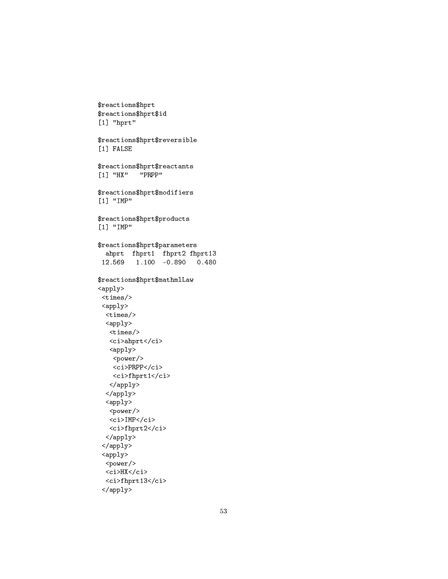```
$reactions$hprt
$reactions$hprt$id
[1] "hprt"
$reactions$hprt$reversible
[1] FALSE
$reactions$hprt$reactants<br>[1] "HX" "PRPP"
[1] "HX"
$reactions$hprt$modifiers
[1] "IMP"
$reactions$hprt$products
[1] "IMP"
$reactions$hprt$parameters
  ahprt fhprt1 fhprt2 fhprt13
 12.569 1.100 -0.890 0.480
$reactions$hprt$mathmlLaw
<apply>
 <times/>
 <apply>
 <times/>
  <apply>
   <times/>
   <ci>ahprt</ci>
   <apply>
   <power/>
   <ci>PRPP</ci>
    <ci>fhprt1</ci>
   </apply>
  \langle /apply>
  <apply>
   <power/>
   <ci>IMP</ci>
   <ci>fhprt2</ci>
  </apply>
 </apply>
 <apply>
 <power/>
 <ci>HX</ci>
  <ci>fhprt13</ci>
```
</apply>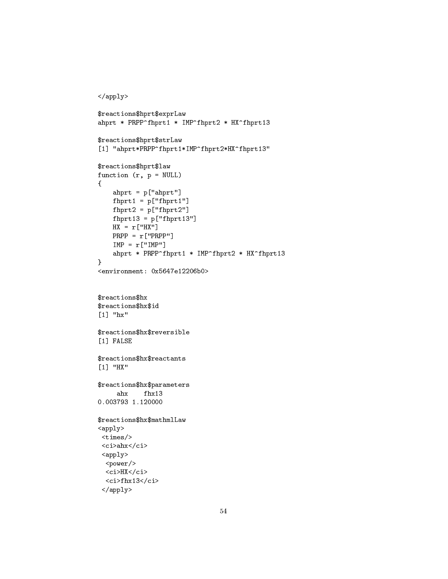```
\langle /apply>
$reactions$hprt$exprLaw
ahprt * PRPP^fhprt1 * IMP^fhprt2 * HX^fhprt13
$reactions$hprt$strLaw
[1] "ahprt*PRPP^fhprt1*IMP^fhprt2*HX^fhprt13"
$reactions$hprt$law
function (r, p = NULL)\mathcal{L}ahprt = p['ahprt']f hprt1 = p['f hprt1"]f hprt2 = p['f hprt2"]f hprt13 = p['f hprt13']HX = r['HX"]PRPP = r['PRPP"]IMP = r['IMP"]ahprt * PRPP^fhprt1 * IMP^fhprt2 * HX^fhprt13
\mathcal{F}<environment: 0x5647e12206b0>
$reactions$hx
$reactions$hx$id
[1] "hx"
$reactions$hx$reversible
[1] FALSE
$reactions$hx$reactants
[1] "HX"
$reactions$hx$parameters
             fhx13
     ahx0.003793 1.120000
$reactions$hx$mathmlLaw
\langle apply \rangle\timestimes/>
 <ci>ahx</ci>
 \langle apply\rangle<power/>
  \langleci>HX\langle/ci>
  <ci>fhx13</ci>
 \langle /apply>
```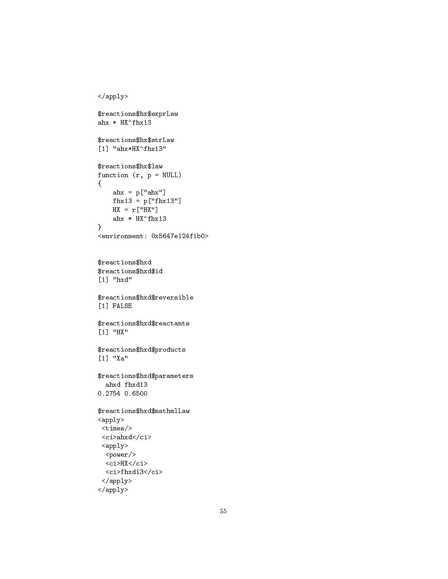```
\langle/apply>
$reactions$hx$exprLaw
ahx * HX^*f hx13$reactions$hx$strLaw
[1] "ahx*HX^fhx13"
$reactions$hx$law
function (r, p = NULL)\mathcal{L}ahx = p['ahx"]f h x 13 = p['f h x 13"]HX = r['HX"]ahx * HX^fhx13\mathcal{F}<environment: 0x5647e124f1b0>
$reactions$hxd
$reactions$hxd$id
[1] "hxd"
$reactions$hxd$reversible
[1] FALSE
\verb|fracions$ hxd$ reactants
[1] "HX"
$reactions$hxd$products
[1] "Xa"
$reactions$hxd$parameters
  ahxd fhxd13
0.2754 0.6500
$reactions$hxd$mathmlLaw
\langle apply \rangle\timestimes/>
 <ci>ahxd</ci>
 \langle \text{apply} \rangle<power/>
  <ci>HX</ci>
  <ci>fhxd13</ci>
 \langle /apply>
```

```
\langle /apply>
```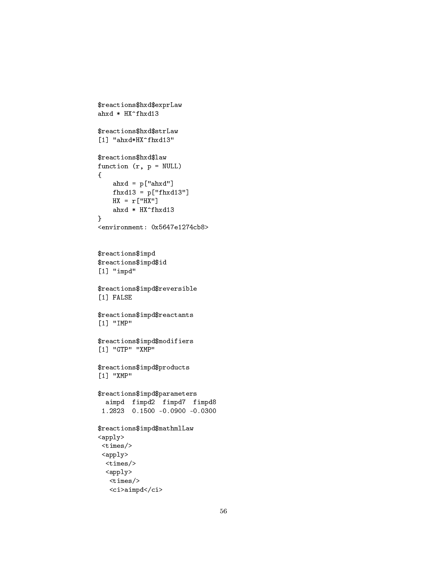```
$reactions$hxd$exprLaw
ahxd * HX^fhxd13
$reactions$hxd$strLaw
[1] "ahxd*HX^fhxd13"
$reactions$hxd$law
function (r, p = NULL)\mathfrak{f}ahxd = p['ahxd"]fhxd13 = p['f hxd13"]HX = r["HX"]
    ahxd * HX^fhxd13
}
<environment: 0x5647e1274cb8>
$reactions$impd
$reactions$impd$id
[1] "impd"
$reactions$impd$reversible
[1] FALSE
$reactions$impd$reactants
[1] "IMP"
$reactions$impd$modifiers
[1] "GTP" "XMP"
$reactions$impd$products
[1] "XMP"
$reactions$impd$parameters
  aimpd fimpd2 fimpd7 fimpd8
 1.2823 0.1500 -0.0900 -0.0300
$reactions$impd$mathmlLaw
<apply>
 <times/>
 <apply>
  <times/>
  <apply>
   <times/>
```
<ci>aimpd</ci>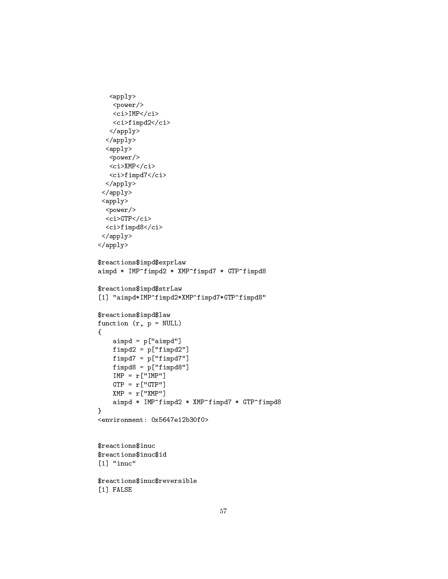```
<apply>
   <power/>
    <ci>IMP</ci>
   <ci>fimpd2</ci>
   </apply>
  </apply>
  <apply>
   <power/>
   <ci>XMP</ci>
   <ci>fimpd7</ci>
  </apply>
 </apply>
 <apply>
  <power/>
  <ci>GTP</ci>
  <ci>fimpd8</ci>
 </apply>
</apply>
$reactions$impd$exprLaw
aimpd * IMP^fimpd2 * XMP^fimpd7 * GTP^fimpd8
$reactions$impd$strLaw
[1] "aimpd*IMP^fimpd2*XMP^fimpd7*GTP^fimpd8"
$reactions$impd$law
function (r, p = NULL){
    aimpd = p['aimpd"]fimpl2 = p['fimpd2"]fimpl7 = p['fimpd7"]fimpl8 = p['fimpd8"]IMP = r['IMP']GTP = r['GTP"]XMP = r['XMP"]aimpd * IMP^fimpd2 * XMP^fimpd7 * GTP^fimpd8
}
<environment: 0x5647e12b30f0>
$reactions$inuc
$reactions$inuc$id
[1] "inuc"
$reactions$inuc$reversible
[1] FALSE
```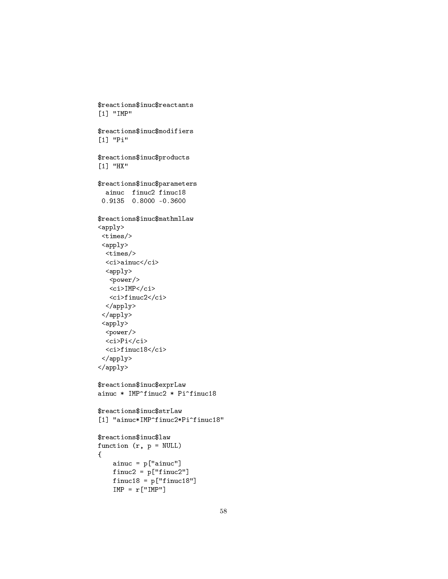```
$reactions$inuc$reactants
[1] "IMP"
$reactions$inuc$modifiers
[1] "Pi"
$reactions$inuc$products
[1] "HX"
$reactions$inuc$parameters
  ainuc finuc2 finuc18
 0.9135 0.8000 -0.3600
$reactions$inuc$mathmlLaw
<apply>
 \timestimes/>
 <apply>
  \timestimes/>
  <ci>ainuc</ci>
  \langle apply \rangle<power/>
   <ci>IMP</ci>
   <ci>finuc2</ci>
  \langle/apply>
 \langle /apply>
 \langle apply\rangle<power/>
  \langleci>Pi</ci>
  <ci>finuc18</ci>
 \langle /apply>
\langle /apply>
$reactions$inuc$exprLaw
ainuc * IMP^finuc2 * Pi^finuc18
$reactions$inuc$strLaw
[1] "ainuc*IMP^finuc2*Pi^finuc18"
$reactions$inuc$law
function (r, p = NULL)\{ainuc = p['ainuc']finuc2 = p['finuc2"]finuc18 = p['finuc18"]IMP = r['IMP"]
```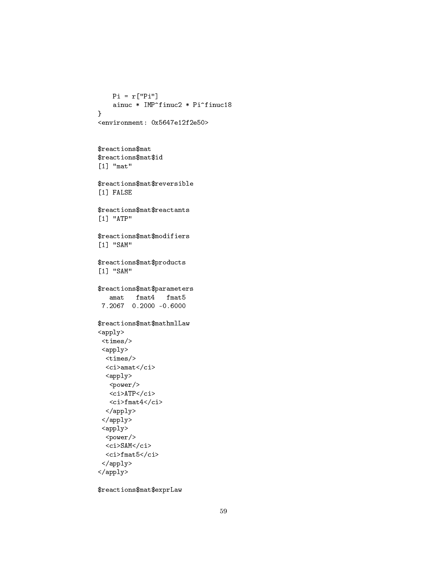```
Pi = r["Pi"]
   ainuc * IMP^finuc2 * Pi^finuc18
}
<environment: 0x5647e12f2e50>
```

```
$reactions$mat
$reactions$mat$id
[1] "mat"
```
\$reactions\$mat\$reversible [1] FALSE

\$reactions\$mat\$reactants [1] "ATP"

\$reactions\$mat\$modifiers [1] "SAM"

```
$reactions$mat$products
[1] "SAM"
```
\$reactions\$mat\$parameters amat fmat4 fmat5 7.2067 0.2000 -0.6000

```
$reactions$mat$mathmlLaw
<apply>
<times/>
 <apply>
  <times/>
  <ci>amat</ci>
  <apply>
   <power/>
   <ci>ATP</ci>
   \langleci>fmat4</ci>
  </apply>
 </apply>
 <apply>
  <power/>
  <ci>SAM</ci>
  \langleci>fmat5</ci>
 </apply>
```

```
</apply>
```
\$reactions\$mat\$exprLaw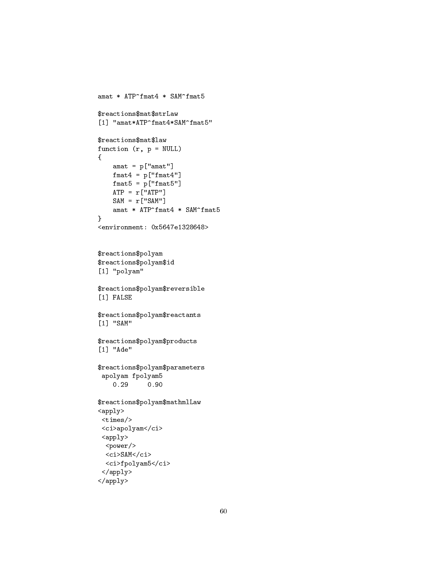```
amat * ATP^fmat4 * SAM^fmat5
$reactions$mat$strLaw
[1] "amat*ATP^fmat4*SAM^fmat5"
$reactions$mat$law
function (r, p = NULL){
    amat = p['amat"]frant4 = p['frmat4"]fmat5 = p['frmat5"]ATP = r['ATP"]SAM = r['SAM"]amat * ATP^fmat4 * SAM^fmat5
}
<environment: 0x5647e1328648>
$reactions$polyam
$reactions$polyam$id
[1] "polyam"
$reactions$polyam$reversible
[1] FALSE
$reactions$polyam$reactants
[1] "SAM"
$reactions$polyam$products
[1] "Ade"
$reactions$polyam$parameters
 apolyam fpolyam5
    0.29 0.90
$reactions$polyam$mathmlLaw
<apply>
 <times/>
 <ci>apolyam</ci>
 <apply>
  <power/>
  <ci>SAM</ci>
  <ci>fpolyam5</ci>
 </apply>
```

```
</apply>
```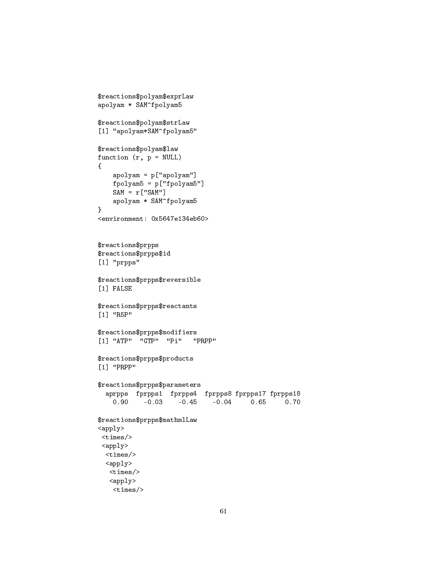```
$reactions$polyam$exprLaw
apolyam * SAM^fpolyam5
$reactions$polyam$strLaw
[1] "apolyam*SAM^fpolyam5"
$reactions$polyam$law
function (r, p = NULL){
    apolyam = p["apolyam"]
   fpolyam5 = p["fpolyam5"]
   SAM = r['SAM"]apolyam * SAM^fpolyam5
}
<environment: 0x5647e134eb60>
$reactions$prpps
$reactions$prpps$id
[1] "prpps"
$reactions$prpps$reversible
[1] FALSE
$reactions$prpps$reactants
[1] "R5P"
$reactions$prpps$modifiers
[1] "ATP" "GTP" "Pi" "PRPP"
$reactions$prpps$products
[1] "PRPP"
$reactions$prpps$parameters
  aprpps fprpps1 fprpps4 fprpps8 fprpps17 fprpps18
   0.90 -0.03 -0.45 -0.04 0.65 0.70
$reactions$prpps$mathmlLaw
<apply>
<times/>
<apply>
 <times/>
 <apply>
  <times/>
   <apply>
   <times/>
```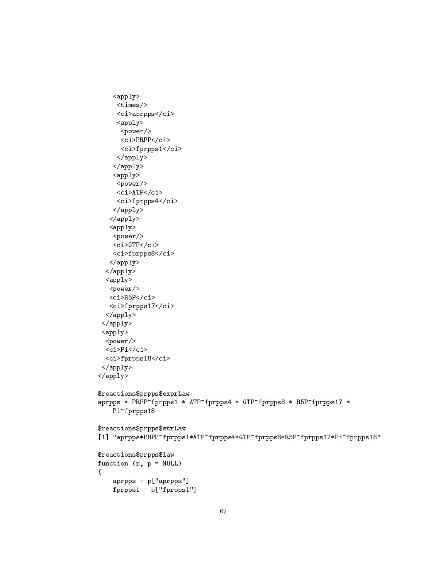```
<apply>
     <times/>
     <ci>aprpps</ci>
     <apply>
      <power/>
      <ci>PRPP</ci>
      <ci>fprpps1</ci>
     </apply>
    </apply>
    <apply>
     <power/>
     <ci>ATP</ci>
     <ci>fprpps4</ci>
    </apply>
   </apply>
   <apply>
    <power/>
    <ci>GTP</ci>
    <ci>fprpps8</ci>
   </apply>
  </apply>
  <apply>
   <power/>
   <ci>R5P</ci>
  <ci>fprpps17</ci>
  </apply>
 </apply>
 <apply>
  <power/>
  \langleci>Pi</ci>
 <ci>fprpps18</ci>
 </apply>
</apply>
$reactions$prpps$exprLaw
aprpps * PRPP^fprpps1 * ATP^fprpps4 * GTP^fprpps8 * R5P^fprpps17 *
   Pi^fprpps18
$reactions$prpps$strLaw
[1] "aprpps*PRPP^fprpps1*ATP^fprpps4*GTP^fprpps8*R5P^fprpps17*Pi^fprpps18"
$reactions$prpps$law
function (r, p = NULL){
    aprpps = p["aprpps"]
```
fprpps1 = p["fprpps1"]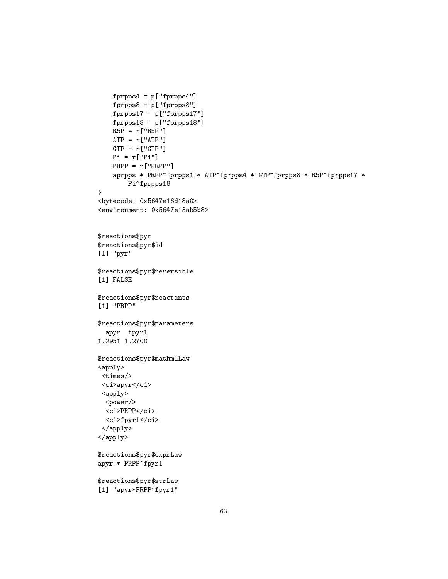```
fprpps4 = p['fprpps4"]fprpps8 = p["fprpps8"]
   fprpps17 = p["fprpps17"]
   fprpps18 = p["fprpps18"]
   R5P = r["R5P"]
   ATP = r['ATP"]GTP = r['GTP"]Pi = r['Pi"]PRPP = r["PRPP"]
    aprpps * PRPP^fprpps1 * ATP^fprpps4 * GTP^fprpps8 * R5P^fprpps17 *
       Pi^fprpps18
}
<bytecode: 0x5647e16d18a0>
<environment: 0x5647e13ab5b8>
$reactions$pyr
$reactions$pyr$id
[1] "pyr"
$reactions$pyr$reversible
[1] FALSE
$reactions$pyr$reactants
[1] "PRPP"
$reactions$pyr$parameters
 apyr fpyr1
1.2951 1.2700
$reactions$pyr$mathmlLaw
<apply>
<times/>
<ci>apyr</ci>
<apply>
 <power/>
 <ci>PRPP</ci>
 <ci>fpyr1</ci>
</apply>
</apply>
$reactions$pyr$exprLaw
apyr * PRPP^fpyr1
$reactions$pyr$strLaw
[1] "apyr*PRPP^fpyr1"
```

```
63
```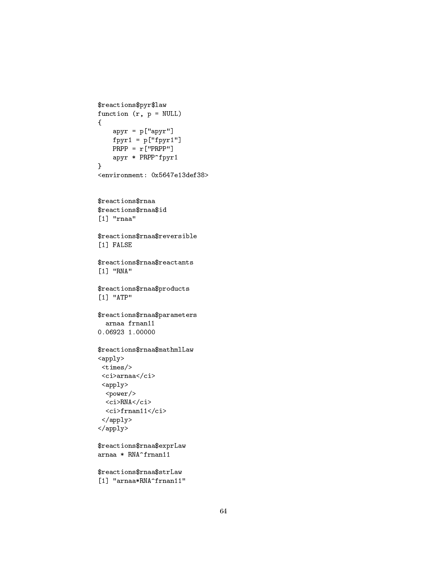```
$reactions$pyr$law
function (r, p = NULL)
{
    apyr = p['apyr"]fpyr1 = p['fpyr1"]PRPP = r["PRPP"]
    apyr * PRPP^fpyr1
}
<environment: 0x5647e13def38>
$reactions$rnaa
$reactions$rnaa$id
[1] "rnaa"
$reactions$rnaa$reversible
[1] FALSE
$reactions$rnaa$reactants
[1] "RNA"
$reactions$rnaa$products
[1] "ATP"
$reactions$rnaa$parameters
  arnaa frnan11
0.06923 1.00000
$reactions$rnaa$mathmlLaw
<apply>
 <times/>
 <ci>arnaa</ci>
 <apply>
  <power/>
  \langleci>RNA\langleci>
  <ci>frnan11</ci>
 </apply>
</apply>
$reactions$rnaa$exprLaw
arnaa * RNA^frnan11
$reactions$rnaa$strLaw
```

```
[1] "arnaa*RNA^frnan11"
```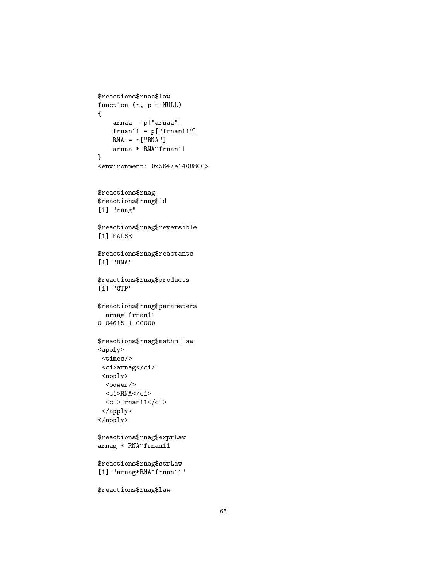```
$reactions$rnaa$law
function (r, p = NULL){
    arnaa = p["arnaa"]
    frnan11 = p["frnan11"]
    RNA = r['RNA"]arnaa * RNA^frnan11
}
<environment: 0x5647e1408800>
$reactions$rnag
$reactions$rnag$id
[1] "rnag"
$reactions$rnag$reversible
[1] FALSE
$reactions$rnag$reactants
[1] "RNA"
$reactions$rnag$products
[1] "GTP"
$reactions$rnag$parameters
  arnag frnan11
0.04615 1.00000
$reactions$rnag$mathmlLaw
<apply>
 <times/>
 <ci>arnag</ci>
 <apply>
 <power/>
  <ci>RNA</ci>
  \langleci>frnan11</ci>
 </apply>
</apply>
$reactions$rnag$exprLaw
arnag * RNA^frnan11
$reactions$rnag$strLaw
[1] "arnag*RNA^frnan11"
```
\$reactions\$rnag\$law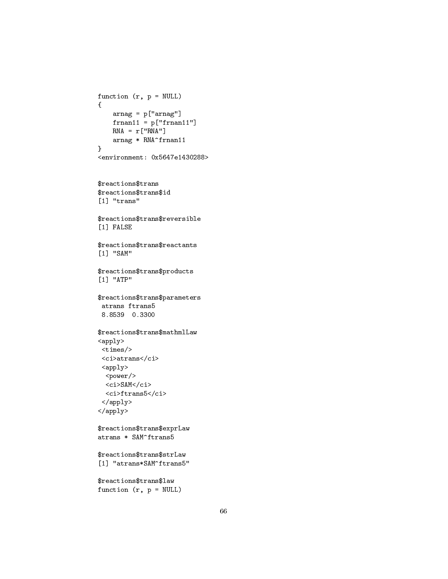```
function (r, p = NULL)
{
    arnag = p["arnag"]
    frnan11 = p['frnan11"]RNA = r['RNA"]arnag * RNA^frnan11
}
<environment: 0x5647e1430288>
$reactions$trans
$reactions$trans$id
[1] "trans"
$reactions$trans$reversible
[1] FALSE
$reactions$trans$reactants
[1] "SAM"
$reactions$trans$products
[1] "ATP"
$reactions$trans$parameters
 atrans ftrans5
 8.8539 0.3300
$reactions$trans$mathmlLaw
<apply>
 <times/>
 \langleci>atrans\langle/ci>
 <apply>
 <power/>
  <ci>SAM</ci>
  <ci>ftrans5</ci>
 </apply>
</apply>
$reactions$trans$exprLaw
atrans * SAM^ftrans5
$reactions$trans$strLaw
[1] "atrans*SAM^ftrans5"
$reactions$trans$law
function (r, p = NULL)
```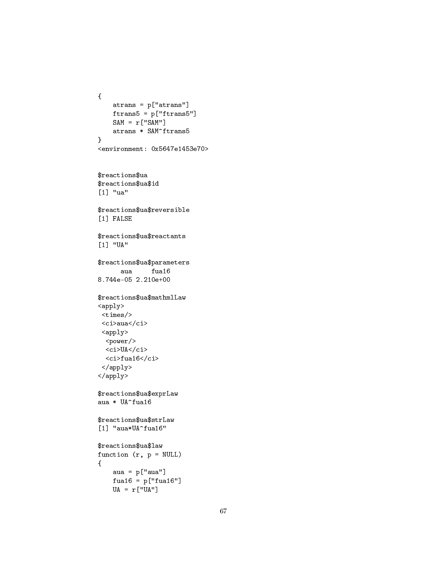```
{
    atrans = p["atrans"]
    ftrans5 = p["ftrans5"]
    SAM = r['SAM"]atrans * SAM^ftrans5
}
<environment: 0x5647e1453e70>
$reactions$ua
$reactions$ua$id
[1] "ua"
$reactions$ua$reversible
[1] FALSE
$reactions$ua$reactants
[1] "UA"
$reactions$ua$parameters
      aua fua16
8.744e-05 2.210e+00
$reactions$ua$mathmlLaw
<apply>
 <times/>
 <ci>aua</ci>
 <apply>
  <power/>
  <ci>UA</ci>
  \langleci>fua16</ci>
 </apply>
\langle /apply>
$reactions$ua$exprLaw
aua * UA^fua16
$reactions$ua$strLaw
[1] "aua*UA^fua16"
$reactions$ua$law
function (r, p = NULL)
{
    aua = p["aua"]
    fua16 = p["fua16"]
```

```
UA = r['UA"]
```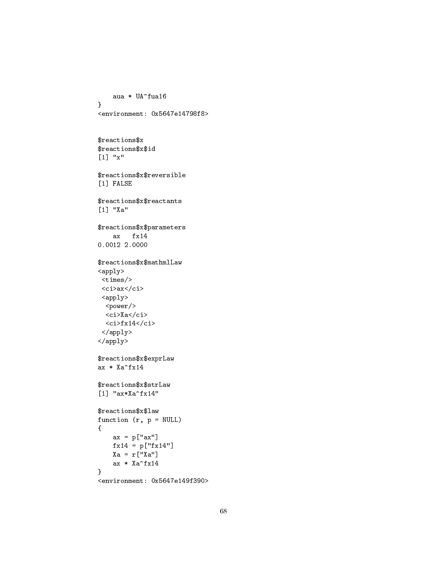```
aua * UA^fua16
\, }
<environment: 0x5647e14798f8>
$reactions$x
$reactions$x$id
[1] "x"
$reactions$x$reversible
[1] FALSE
$reactions$x$reactants
[1] "Xa"
$reactions$x$parameters
     ax fx140.0012 2.0000
$reactions$x$mathmlLaw
\langle \text{apply} \rangle\timestimes/>
 <ci>ax</ci>
 \langle \text{apply} \rangle<power/>
  \langleci>Xa\langleci>
  \langleci>fx14</ci>
 \langle \text{apply} \rangle\langle /apply>
$reactions$x$exprLaw
ax * Xa<sup>-f x 14</sup>
$reactions$x$strLaw
[1] "ax*Xa^fx14"
$reactions$x$law
function (r, p = NULL)\mathcal{L}ax = p["ax"]f \times 14 = p['f \times 14"]Xa = r[[Xa"]ax * Xa<sup>-f x 14</sup>
\mathcal{F}
```

```
<environment: 0x5647e149f390>
```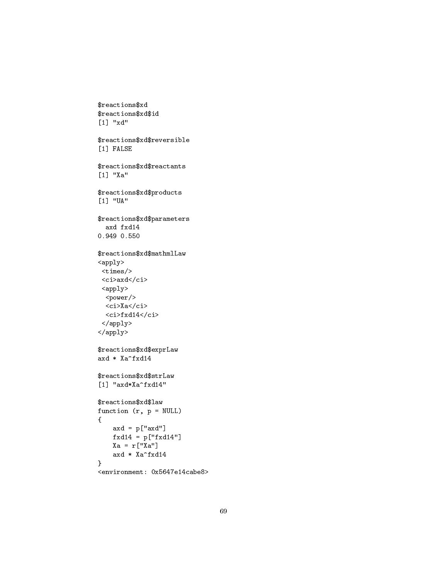```
$reactions$xd
$reactions$xd$id
[1] "xd"
$reactions$xd$reversible
[1] FALSE
$reactions$xd$reactants
[1] "Xa"
$reactions$xd$products
[1] "UA"
$reactions$xd$parameters
  axd fxd14
0.949 0.550
\verb|fracions$xd\$mathmlLaw\langle \text{apply} \rangle\timestimes/>
 <ci>axd</ci>
 <apply>
  <power/>
  \langleci>Xa\langle/ci>
  <ci>fxd14</ci>
 \langle /apply>
\langle \rangle apply>
$reactions$xd$exprLaw
axd * Xa<sup>-fxd14</sup>
$reactions$xd$strLaw
[1] "axd*Xa^fxd14"
$reactions$xd$law
function (r, p = NULL)\left\{ \right.axd = p['axd"]fxd14 = p['fxd14"]Xa = r[[Xa"]axd * Xa^fxd14\mathcal{F}
```

```
<environment: 0x5647e14cabe8>
```